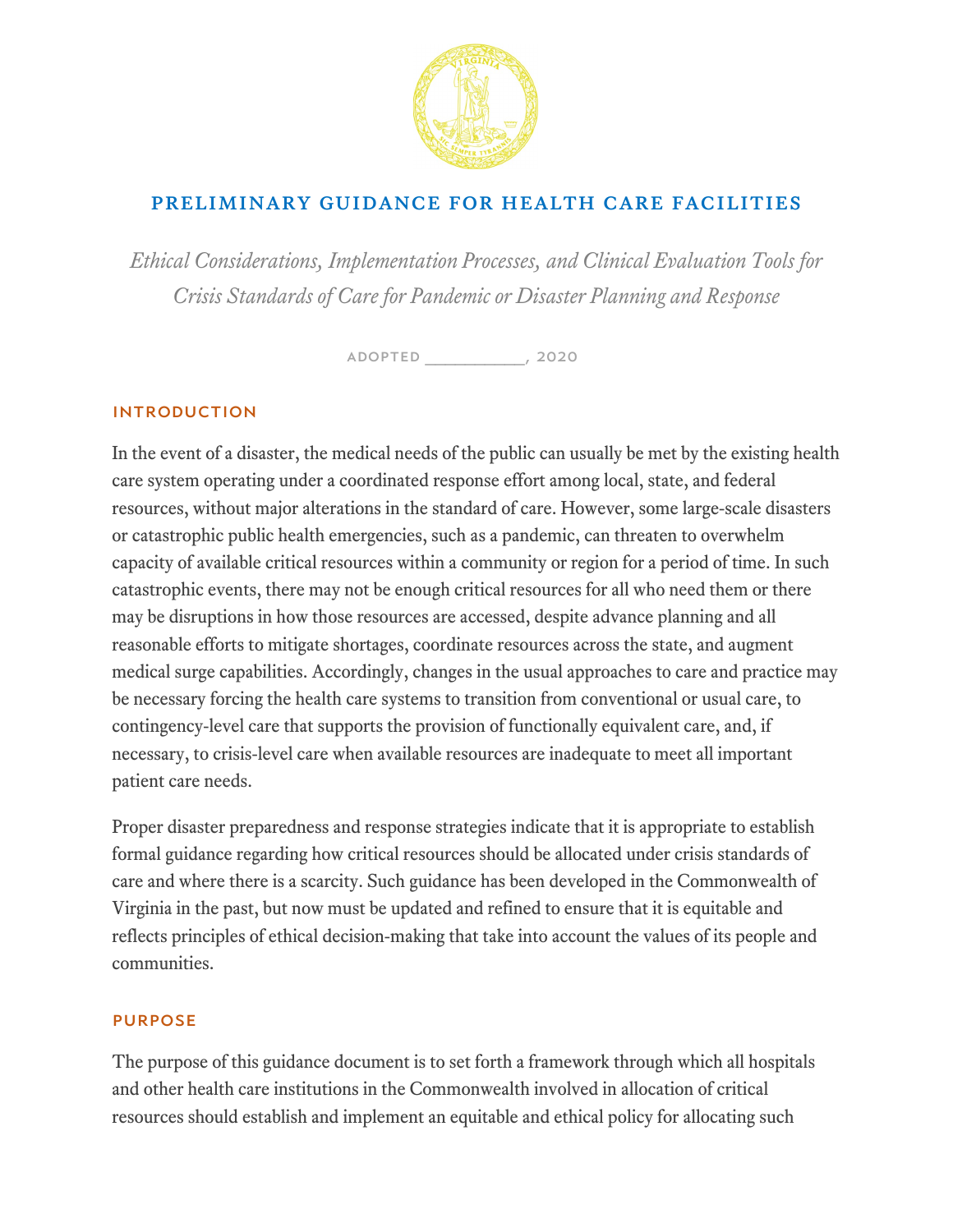

## Preliminary Guidance for Health Care Facilities

*Ethical Considerations, Implementation Processes, and Clinical Evaluation Tools for Crisis Standards of Care for Pandemic or Disaster Planning and Response* 

Adopted \_\_\_\_\_\_\_\_\_\_, 2020

### INTRODUCTION

In the event of a disaster, the medical needs of the public can usually be met by the existing health care system operating under a coordinated response effort among local, state, and federal resources, without major alterations in the standard of care. However, some large-scale disasters or catastrophic public health emergencies, such as a pandemic, can threaten to overwhelm capacity of available critical resources within a community or region for a period of time. In such catastrophic events, there may not be enough critical resources for all who need them or there may be disruptions in how those resources are accessed, despite advance planning and all reasonable efforts to mitigate shortages, coordinate resources across the state, and augment medical surge capabilities. Accordingly, changes in the usual approaches to care and practice may be necessary forcing the health care systems to transition from conventional or usual care, to contingency-level care that supports the provision of functionally equivalent care, and, if necessary, to crisis-level care when available resources are inadequate to meet all important patient care needs.

Proper disaster preparedness and response strategies indicate that it is appropriate to establish formal guidance regarding how critical resources should be allocated under crisis standards of care and where there is a scarcity. Such guidance has been developed in the Commonwealth of Virginia in the past, but now must be updated and refined to ensure that it is equitable and reflects principles of ethical decision-making that take into account the values of its people and communities.

#### PURPOSE

The purpose of this guidance document is to set forth a framework through which all hospitals and other health care institutions in the Commonwealth involved in allocation of critical resources should establish and implement an equitable and ethical policy for allocating such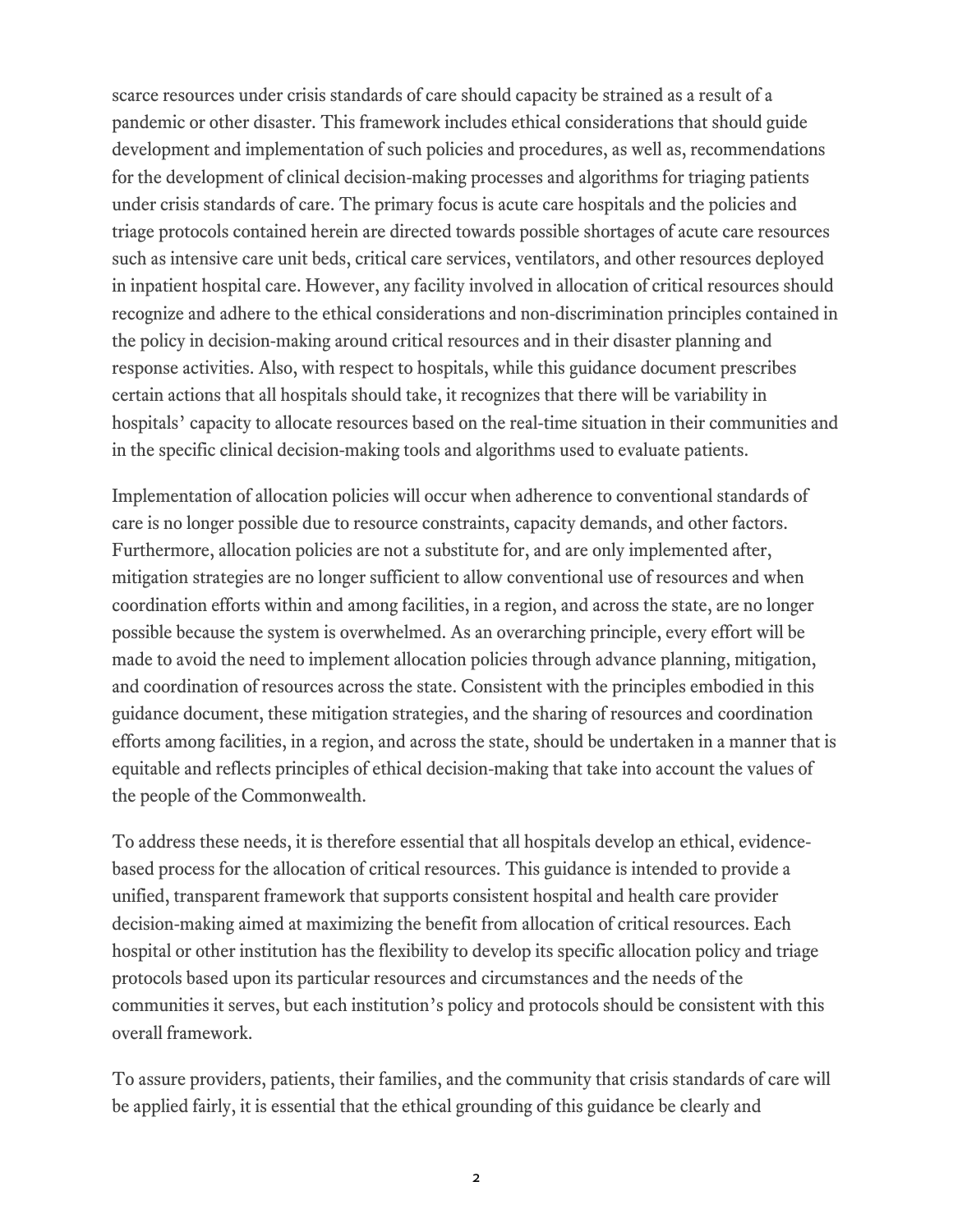scarce resources under crisis standards of care should capacity be strained as a result of a pandemic or other disaster. This framework includes ethical considerations that should guide development and implementation of such policies and procedures, as well as, recommendations for the development of clinical decision-making processes and algorithms for triaging patients under crisis standards of care. The primary focus is acute care hospitals and the policies and triage protocols contained herein are directed towards possible shortages of acute care resources such as intensive care unit beds, critical care services, ventilators, and other resources deployed in inpatient hospital care. However, any facility involved in allocation of critical resources should recognize and adhere to the ethical considerations and non-discrimination principles contained in the policy in decision-making around critical resources and in their disaster planning and response activities. Also, with respect to hospitals, while this guidance document prescribes certain actions that all hospitals should take, it recognizes that there will be variability in hospitals' capacity to allocate resources based on the real-time situation in their communities and in the specific clinical decision-making tools and algorithms used to evaluate patients.

Implementation of allocation policies will occur when adherence to conventional standards of care is no longer possible due to resource constraints, capacity demands, and other factors. Furthermore, allocation policies are not a substitute for, and are only implemented after, mitigation strategies are no longer sufficient to allow conventional use of resources and when coordination efforts within and among facilities, in a region, and across the state, are no longer possible because the system is overwhelmed. As an overarching principle, every effort will be made to avoid the need to implement allocation policies through advance planning, mitigation, and coordination of resources across the state. Consistent with the principles embodied in this guidance document, these mitigation strategies, and the sharing of resources and coordination efforts among facilities, in a region, and across the state, should be undertaken in a manner that is equitable and reflects principles of ethical decision-making that take into account the values of the people of the Commonwealth.

To address these needs, it is therefore essential that all hospitals develop an ethical, evidencebased process for the allocation of critical resources. This guidance is intended to provide a unified, transparent framework that supports consistent hospital and health care provider decision-making aimed at maximizing the benefit from allocation of critical resources. Each hospital or other institution has the flexibility to develop its specific allocation policy and triage protocols based upon its particular resources and circumstances and the needs of the communities it serves, but each institution's policy and protocols should be consistent with this overall framework.

To assure providers, patients, their families, and the community that crisis standards of care will be applied fairly, it is essential that the ethical grounding of this guidance be clearly and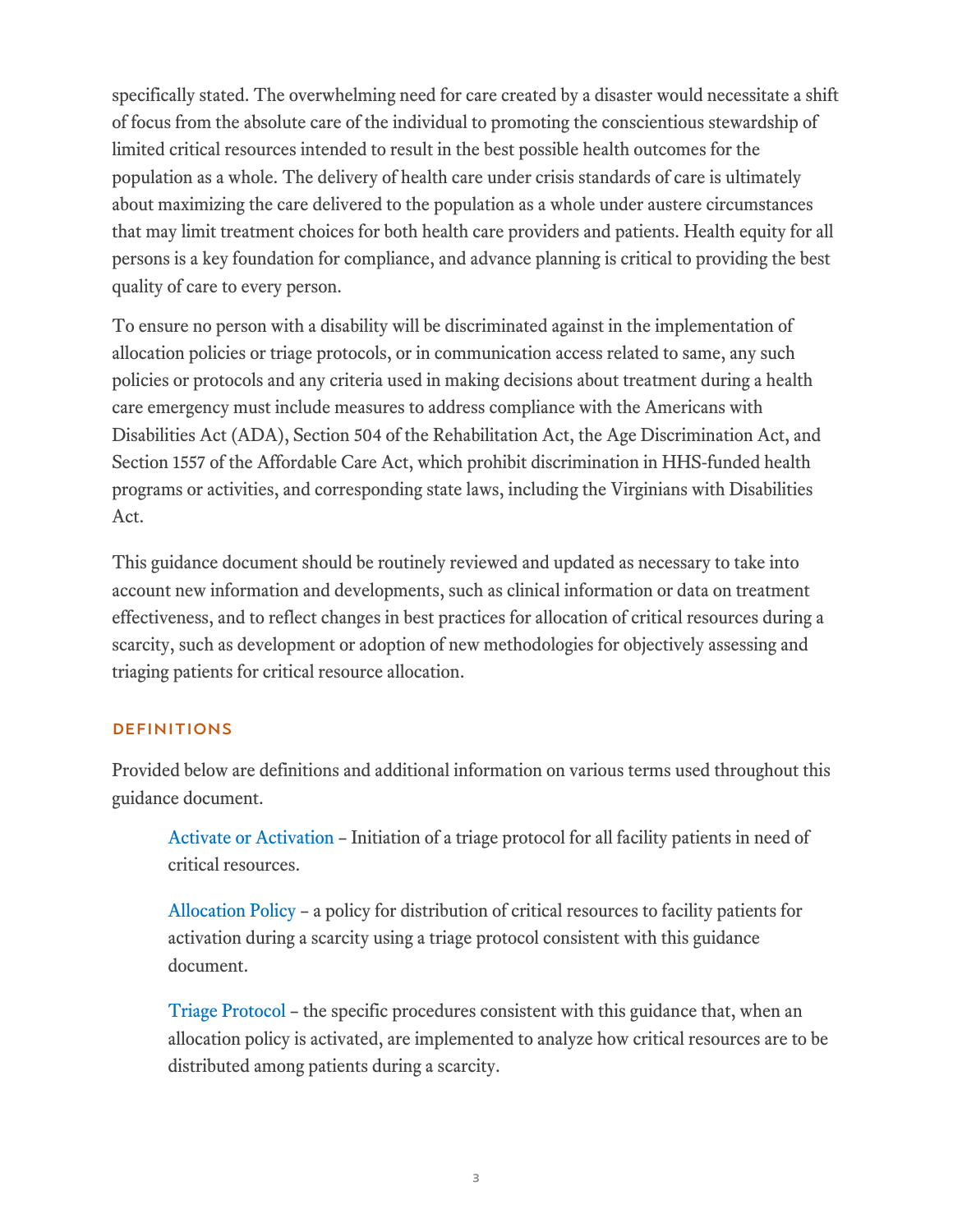specifically stated. The overwhelming need for care created by a disaster would necessitate a shift of focus from the absolute care of the individual to promoting the conscientious stewardship of limited critical resources intended to result in the best possible health outcomes for the population as a whole. The delivery of health care under crisis standards of care is ultimately about maximizing the care delivered to the population as a whole under austere circumstances that may limit treatment choices for both health care providers and patients. Health equity for all persons is a key foundation for compliance, and advance planning is critical to providing the best quality of care to every person.

To ensure no person with a disability will be discriminated against in the implementation of allocation policies or triage protocols, or in communication access related to same, any such policies or protocols and any criteria used in making decisions about treatment during a health care emergency must include measures to address compliance with the Americans with Disabilities Act (ADA), Section 504 of the Rehabilitation Act, the Age Discrimination Act, and Section 1557 of the Affordable Care Act, which prohibit discrimination in HHS-funded health programs or activities, and corresponding state laws, including the Virginians with Disabilities Act.

This guidance document should be routinely reviewed and updated as necessary to take into account new information and developments, such as clinical information or data on treatment effectiveness, and to reflect changes in best practices for allocation of critical resources during a scarcity, such as development or adoption of new methodologies for objectively assessing and triaging patients for critical resource allocation.

#### DEFINITIONS

Provided below are definitions and additional information on various terms used throughout this guidance document.

Activate or Activation – Initiation of a triage protocol for all facility patients in need of critical resources.

Allocation Policy – a policy for distribution of critical resources to facility patients for activation during a scarcity using a triage protocol consistent with this guidance document.

Triage Protocol – the specific procedures consistent with this guidance that, when an allocation policy is activated, are implemented to analyze how critical resources are to be distributed among patients during a scarcity.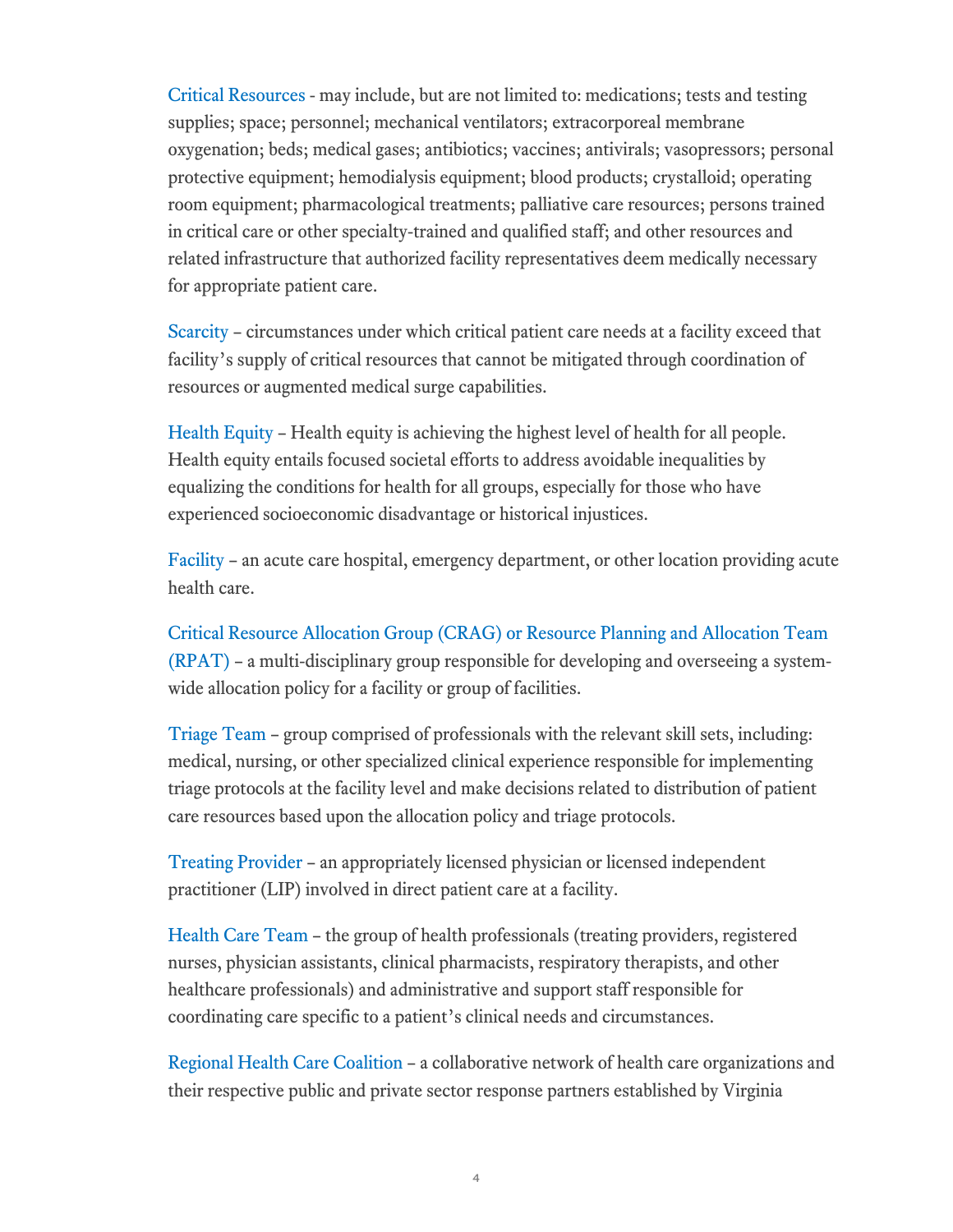Critical Resources - may include, but are not limited to: medications; tests and testing supplies; space; personnel; mechanical ventilators; extracorporeal membrane oxygenation; beds; medical gases; antibiotics; vaccines; antivirals; vasopressors; personal protective equipment; hemodialysis equipment; blood products; crystalloid; operating room equipment; pharmacological treatments; palliative care resources; persons trained in critical care or other specialty-trained and qualified staff; and other resources and related infrastructure that authorized facility representatives deem medically necessary for appropriate patient care.

Scarcity – circumstances under which critical patient care needs at a facility exceed that facility's supply of critical resources that cannot be mitigated through coordination of resources or augmented medical surge capabilities.

Health Equity – Health equity is achieving the highest level of health for all people. Health equity entails focused societal efforts to address avoidable inequalities by equalizing the conditions for health for all groups, especially for those who have experienced socioeconomic disadvantage or historical injustices.

Facility – an acute care hospital, emergency department, or other location providing acute health care.

Critical Resource Allocation Group (CRAG) or Resource Planning and Allocation Team (RPAT) – a multi-disciplinary group responsible for developing and overseeing a systemwide allocation policy for a facility or group of facilities.

Triage Team – group comprised of professionals with the relevant skill sets, including: medical, nursing, or other specialized clinical experience responsible for implementing triage protocols at the facility level and make decisions related to distribution of patient care resources based upon the allocation policy and triage protocols.

Treating Provider – an appropriately licensed physician or licensed independent practitioner (LIP) involved in direct patient care at a facility.

Health Care Team – the group of health professionals (treating providers, registered nurses, physician assistants, clinical pharmacists, respiratory therapists, and other healthcare professionals) and administrative and support staff responsible for coordinating care specific to a patient's clinical needs and circumstances.

Regional Health Care Coalition – a collaborative network of health care organizations and their respective public and private sector response partners established by Virginia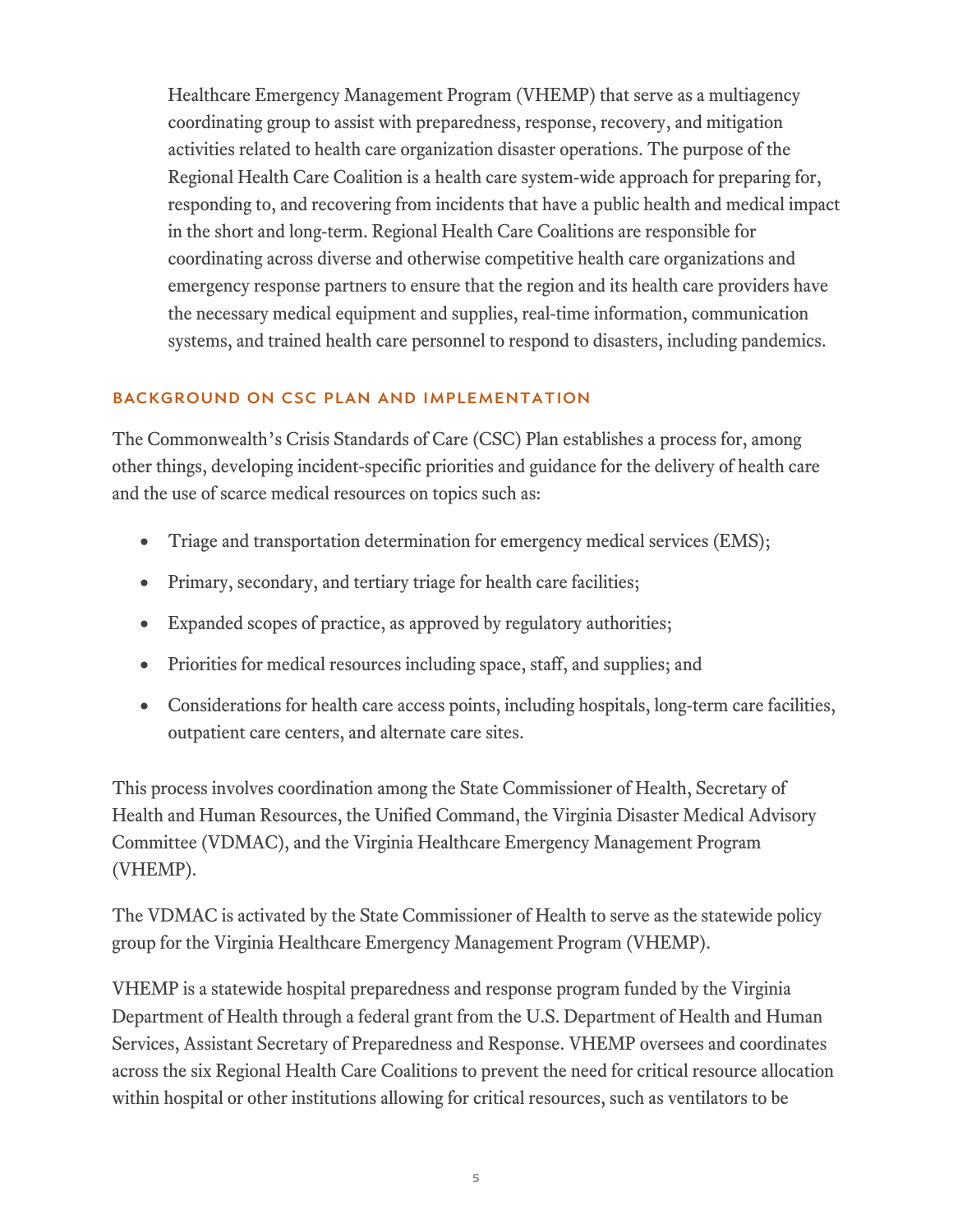Healthcare Emergency Management Program (VHEMP) that serve as a multiagency coordinating group to assist with preparedness, response, recovery, and mitigation activities related to health care organization disaster operations. The purpose of the Regional Health Care Coalition is a health care system-wide approach for preparing for, responding to, and recovering from incidents that have a public health and medical impact in the short and long-term. Regional Health Care Coalitions are responsible for coordinating across diverse and otherwise competitive health care organizations and emergency response partners to ensure that the region and its health care providers have the necessary medical equipment and supplies, real‐time information, communication systems, and trained health care personnel to respond to disasters, including pandemics.

#### BACKGROUND ON CSC PLAN AND IMPLEMENTATION

The Commonwealth's Crisis Standards of Care (CSC) Plan establishes a process for, among other things, developing incident-specific priorities and guidance for the delivery of health care and the use of scarce medical resources on topics such as:

- Triage and transportation determination for emergency medical services (EMS);
- Primary, secondary, and tertiary triage for health care facilities;
- Expanded scopes of practice, as approved by regulatory authorities;
- Priorities for medical resources including space, staff, and supplies; and
- Considerations for health care access points, including hospitals, long-term care facilities, outpatient care centers, and alternate care sites.

This process involves coordination among the State Commissioner of Health, Secretary of Health and Human Resources, the Unified Command, the Virginia Disaster Medical Advisory Committee (VDMAC), and the Virginia Healthcare Emergency Management Program (VHEMP).

The VDMAC is activated by the State Commissioner of Health to serve as the statewide policy group for the Virginia Healthcare Emergency Management Program (VHEMP).

VHEMP is a statewide hospital preparedness and response program funded by the Virginia Department of Health through a federal grant from the U.S. Department of Health and Human Services, Assistant Secretary of Preparedness and Response. VHEMP oversees and coordinates across the six Regional Health Care Coalitions to prevent the need for critical resource allocation within hospital or other institutions allowing for critical resources, such as ventilators to be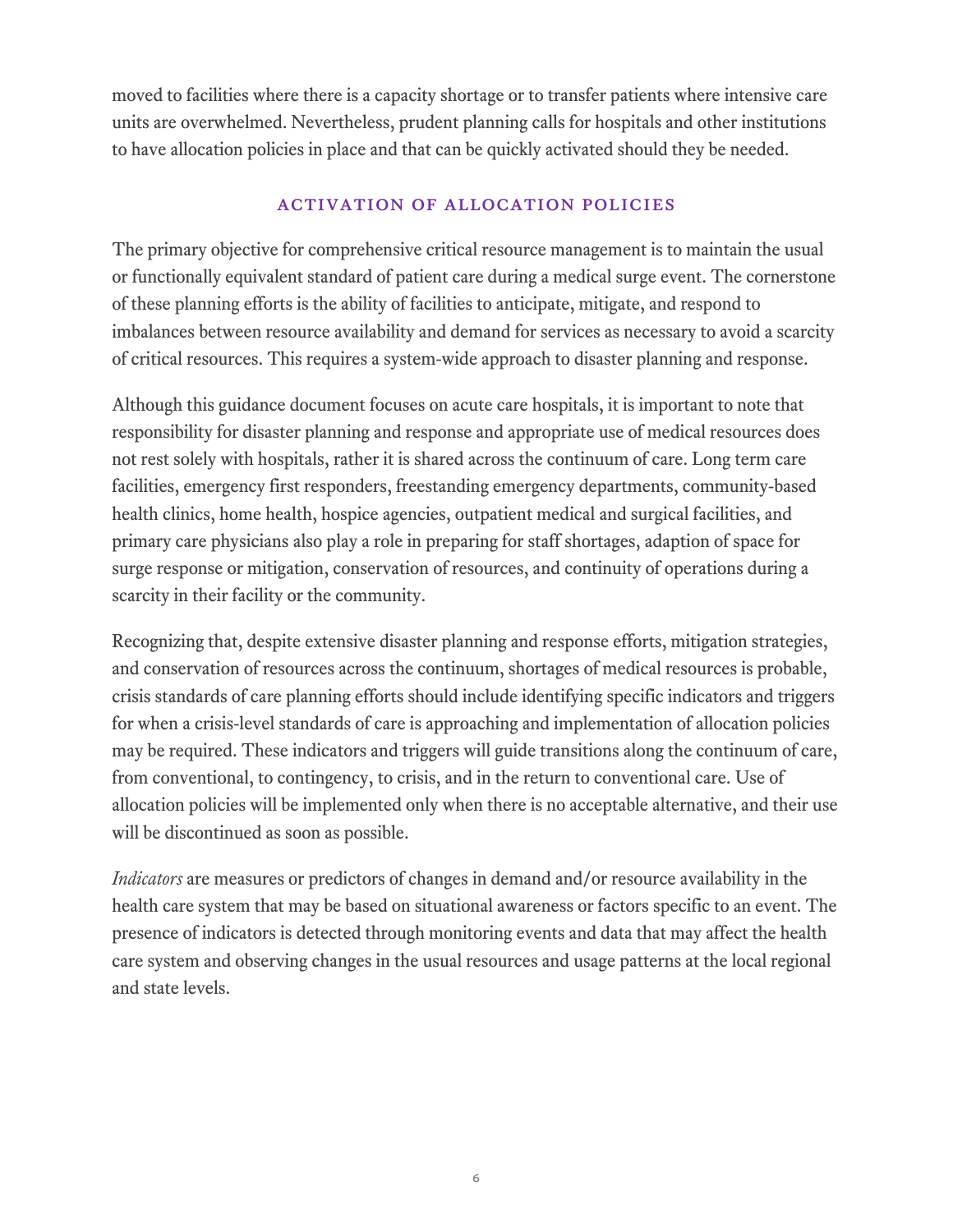moved to facilities where there is a capacity shortage or to transfer patients where intensive care units are overwhelmed. Nevertheless, prudent planning calls for hospitals and other institutions to have allocation policies in place and that can be quickly activated should they be needed.

#### Activation of Allocation Policies

The primary objective for comprehensive critical resource management is to maintain the usual or functionally equivalent standard of patient care during a medical surge event. The cornerstone of these planning efforts is the ability of facilities to anticipate, mitigate, and respond to imbalances between resource availability and demand for services as necessary to avoid a scarcity of critical resources. This requires a system-wide approach to disaster planning and response.

Although this guidance document focuses on acute care hospitals, it is important to note that responsibility for disaster planning and response and appropriate use of medical resources does not rest solely with hospitals, rather it is shared across the continuum of care. Long term care facilities, emergency first responders, freestanding emergency departments, community-based health clinics, home health, hospice agencies, outpatient medical and surgical facilities, and primary care physicians also play a role in preparing for staff shortages, adaption of space for surge response or mitigation, conservation of resources, and continuity of operations during a scarcity in their facility or the community.

Recognizing that, despite extensive disaster planning and response efforts, mitigation strategies, and conservation of resources across the continuum, shortages of medical resources is probable, crisis standards of care planning efforts should include identifying specific indicators and triggers for when a crisis-level standards of care is approaching and implementation of allocation policies may be required. These indicators and triggers will guide transitions along the continuum of care, from conventional, to contingency, to crisis, and in the return to conventional care. Use of allocation policies will be implemented only when there is no acceptable alternative, and their use will be discontinued as soon as possible.

*Indicators* are measures or predictors of changes in demand and/or resource availability in the health care system that may be based on situational awareness or factors specific to an event. The presence of indicators is detected through monitoring events and data that may affect the health care system and observing changes in the usual resources and usage patterns at the local regional and state levels.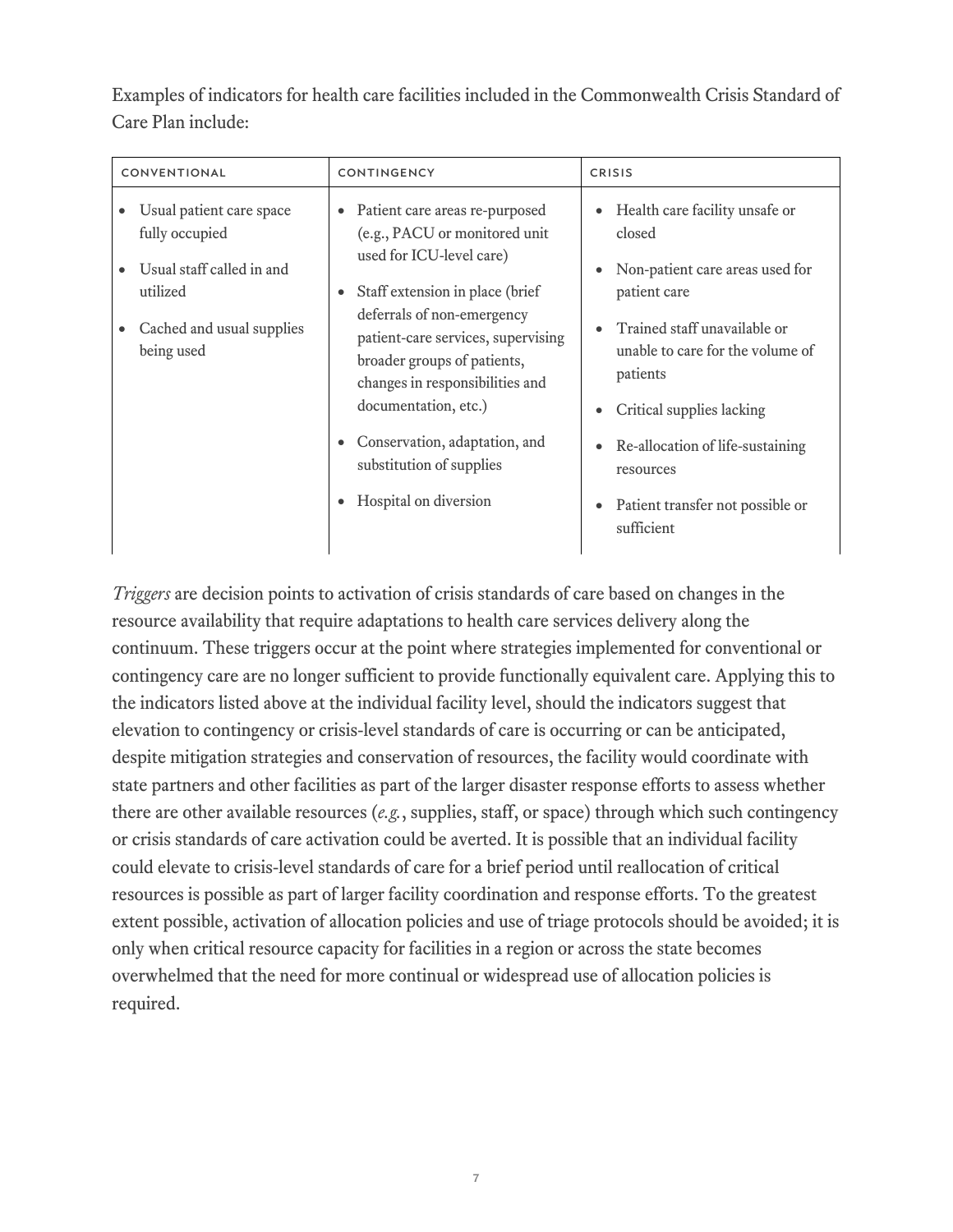Examples of indicators for health care facilities included in the Commonwealth Crisis Standard of Care Plan include:

| CONVENTIONAL                                                                                                                   | <b>CONTINGENCY</b>                                                                                                                                                                                                                                                                                                                                                                                                        | <b>CRISIS</b>                                                                                                                                                                                                                                                                                                            |  |
|--------------------------------------------------------------------------------------------------------------------------------|---------------------------------------------------------------------------------------------------------------------------------------------------------------------------------------------------------------------------------------------------------------------------------------------------------------------------------------------------------------------------------------------------------------------------|--------------------------------------------------------------------------------------------------------------------------------------------------------------------------------------------------------------------------------------------------------------------------------------------------------------------------|--|
| Usual patient care space<br>fully occupied<br>Usual staff called in and<br>utilized<br>Cached and usual supplies<br>being used | Patient care areas re-purposed<br>$\bullet$<br>(e.g., PACU or monitored unit<br>used for ICU-level care)<br>Staff extension in place (brief<br>deferrals of non-emergency<br>patient-care services, supervising<br>broader groups of patients,<br>changes in responsibilities and<br>documentation, etc.)<br>Conservation, adaptation, and<br>$\bullet$<br>substitution of supplies<br>Hospital on diversion<br>$\bullet$ | Health care facility unsafe or<br>$\bullet$<br>closed<br>Non-patient care areas used for<br>patient care<br>Trained staff unavailable or<br>unable to care for the volume of<br>patients<br>Critical supplies lacking<br>Re-allocation of life-sustaining<br>resources<br>Patient transfer not possible or<br>sufficient |  |

*Triggers* are decision points to activation of crisis standards of care based on changes in the resource availability that require adaptations to health care services delivery along the continuum. These triggers occur at the point where strategies implemented for conventional or contingency care are no longer sufficient to provide functionally equivalent care. Applying this to the indicators listed above at the individual facility level, should the indicators suggest that elevation to contingency or crisis-level standards of care is occurring or can be anticipated, despite mitigation strategies and conservation of resources, the facility would coordinate with state partners and other facilities as part of the larger disaster response efforts to assess whether there are other available resources (*e.g.*, supplies, staff, or space) through which such contingency or crisis standards of care activation could be averted. It is possible that an individual facility could elevate to crisis-level standards of care for a brief period until reallocation of critical resources is possible as part of larger facility coordination and response efforts. To the greatest extent possible, activation of allocation policies and use of triage protocols should be avoided; it is only when critical resource capacity for facilities in a region or across the state becomes overwhelmed that the need for more continual or widespread use of allocation policies is required.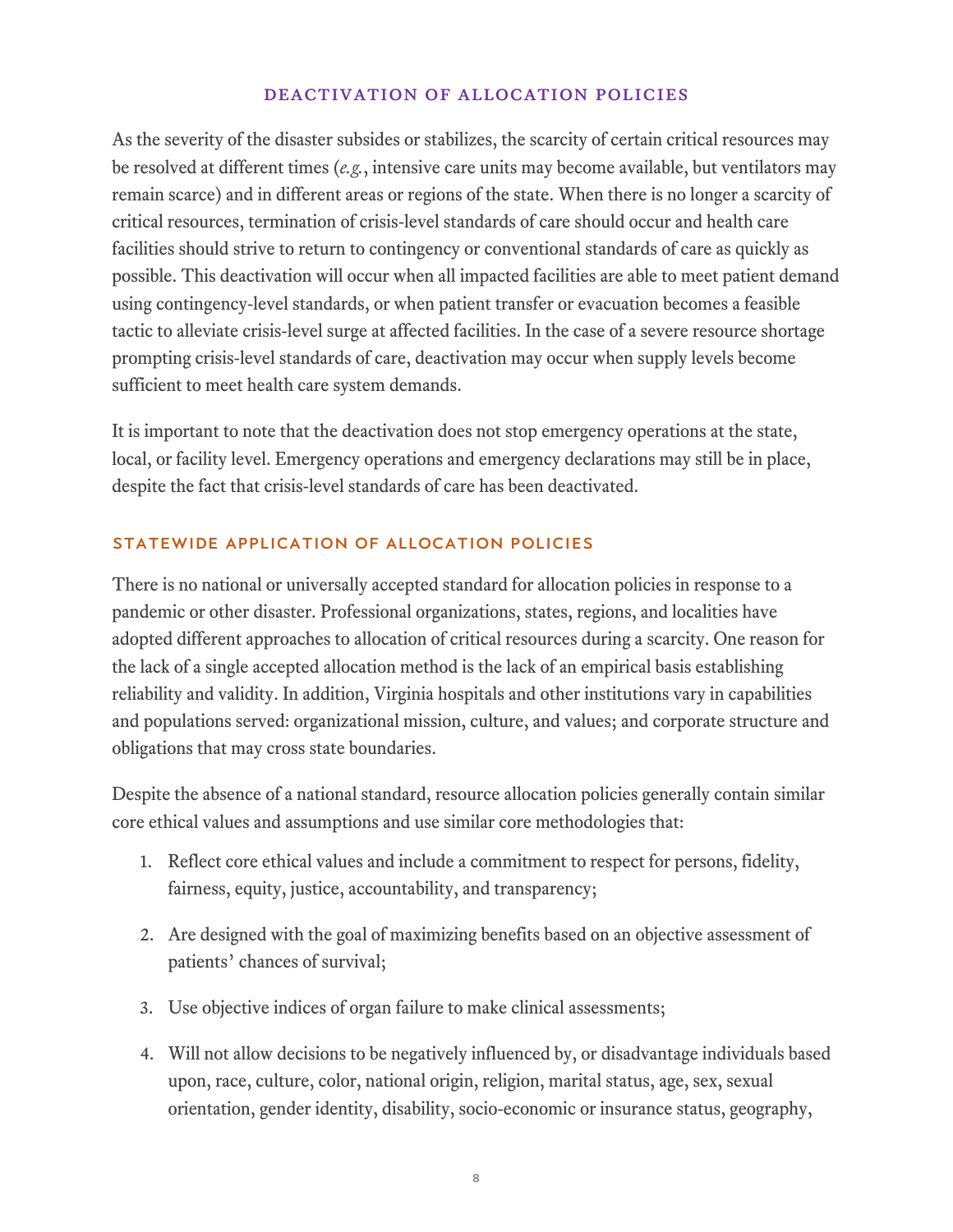#### Deactivation of Allocation Policies

As the severity of the disaster subsides or stabilizes, the scarcity of certain critical resources may be resolved at different times (*e.g.*, intensive care units may become available, but ventilators may remain scarce) and in different areas or regions of the state. When there is no longer a scarcity of critical resources, termination of crisis-level standards of care should occur and health care facilities should strive to return to contingency or conventional standards of care as quickly as possible. This deactivation will occur when all impacted facilities are able to meet patient demand using contingency-level standards, or when patient transfer or evacuation becomes a feasible tactic to alleviate crisis-level surge at affected facilities. In the case of a severe resource shortage prompting crisis-level standards of care, deactivation may occur when supply levels become sufficient to meet health care system demands.

It is important to note that the deactivation does not stop emergency operations at the state, local, or facility level. Emergency operations and emergency declarations may still be in place, despite the fact that crisis-level standards of care has been deactivated.

## STATEWIDE APPLICATION OF ALLOCATION POLICIES

There is no national or universally accepted standard for allocation policies in response to a pandemic or other disaster. Professional organizations, states, regions, and localities have adopted different approaches to allocation of critical resources during a scarcity. One reason for the lack of a single accepted allocation method is the lack of an empirical basis establishing reliability and validity. In addition, Virginia hospitals and other institutions vary in capabilities and populations served: organizational mission, culture, and values; and corporate structure and obligations that may cross state boundaries.

Despite the absence of a national standard, resource allocation policies generally contain similar core ethical values and assumptions and use similar core methodologies that:

- 1. Reflect core ethical values and include a commitment to respect for persons, fidelity, fairness, equity, justice, accountability, and transparency;
- 2. Are designed with the goal of maximizing benefits based on an objective assessment of patients' chances of survival;
- 3. Use objective indices of organ failure to make clinical assessments;
- 4. Will not allow decisions to be negatively influenced by, or disadvantage individuals based upon, race, culture, color, national origin, religion, marital status, age, sex, sexual orientation, gender identity, disability, socio-economic or insurance status, geography,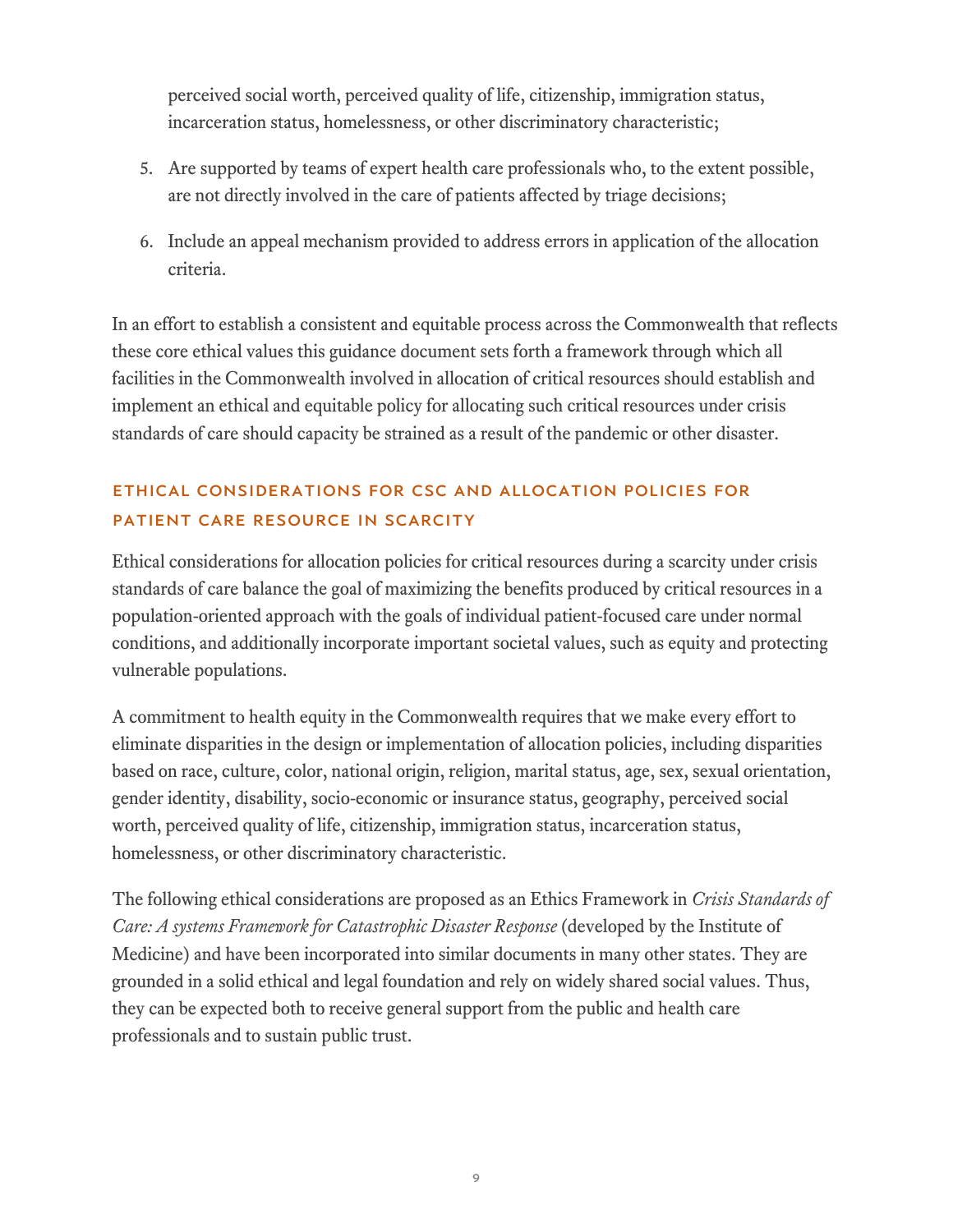perceived social worth, perceived quality of life, citizenship, immigration status, incarceration status, homelessness, or other discriminatory characteristic;

- 5. Are supported by teams of expert health care professionals who, to the extent possible, are not directly involved in the care of patients affected by triage decisions;
- 6. Include an appeal mechanism provided to address errors in application of the allocation criteria.

In an effort to establish a consistent and equitable process across the Commonwealth that reflects these core ethical values this guidance document sets forth a framework through which all facilities in the Commonwealth involved in allocation of critical resources should establish and implement an ethical and equitable policy for allocating such critical resources under crisis standards of care should capacity be strained as a result of the pandemic or other disaster.

# ETHICAL CONSIDERATIONS FOR CSC AND ALLOCATION POLICIES FOR PATIENT CARE RESOURCE IN SCARCITY

Ethical considerations for allocation policies for critical resources during a scarcity under crisis standards of care balance the goal of maximizing the benefits produced by critical resources in a population-oriented approach with the goals of individual patient-focused care under normal conditions, and additionally incorporate important societal values, such as equity and protecting vulnerable populations.

A commitment to health equity in the Commonwealth requires that we make every effort to eliminate disparities in the design or implementation of allocation policies, including disparities based on race, culture, color, national origin, religion, marital status, age, sex, sexual orientation, gender identity, disability, socio-economic or insurance status, geography, perceived social worth, perceived quality of life, citizenship, immigration status, incarceration status, homelessness, or other discriminatory characteristic.

The following ethical considerations are proposed as an Ethics Framework in *Crisis Standards of Care: A systems Framework for Catastrophic Disaster Response* (developed by the Institute of Medicine) and have been incorporated into similar documents in many other states. They are grounded in a solid ethical and legal foundation and rely on widely shared social values. Thus, they can be expected both to receive general support from the public and health care professionals and to sustain public trust.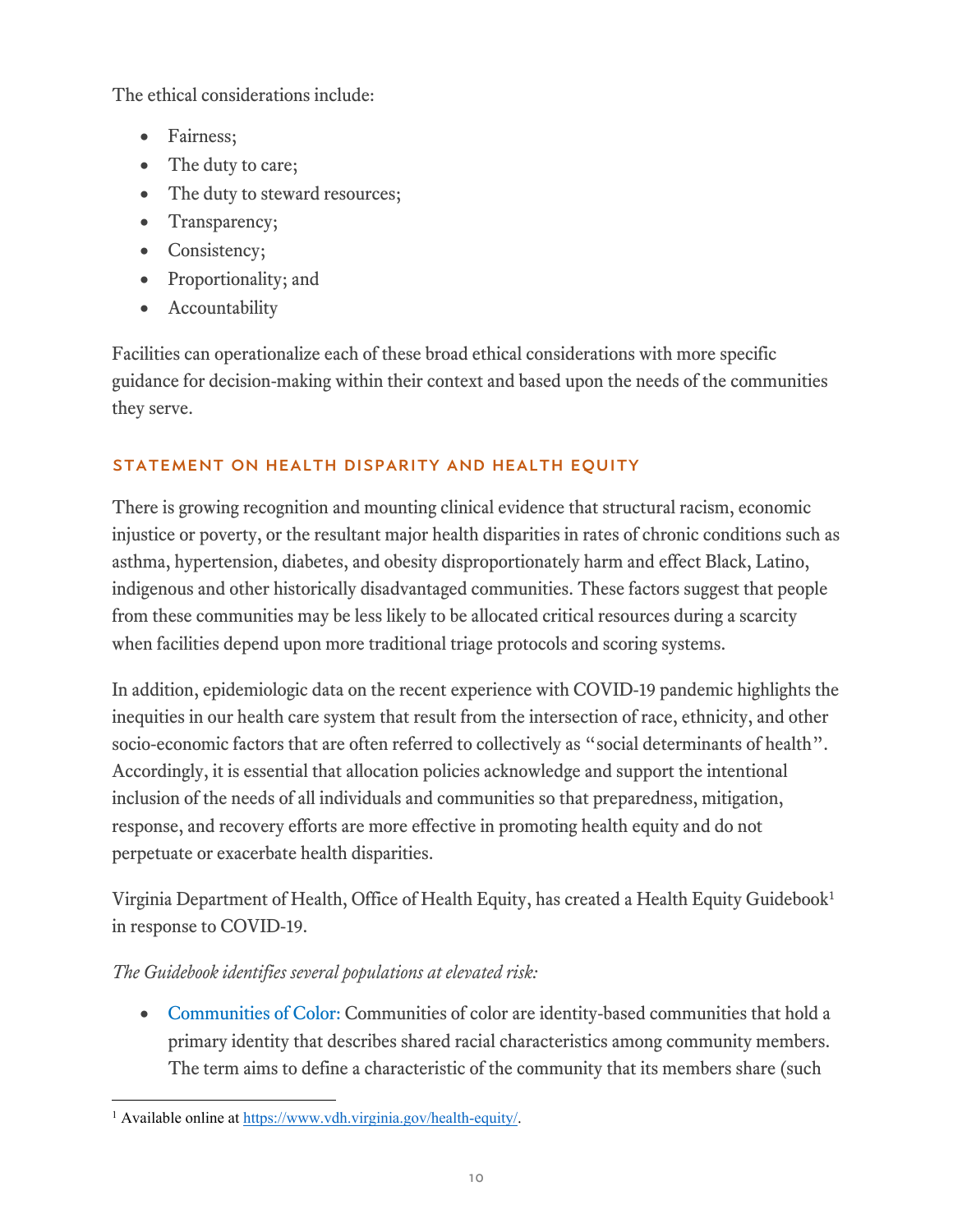The ethical considerations include:

- Fairness;
- The duty to care;
- The duty to steward resources;
- Transparency;
- Consistency;
- Proportionality; and
- Accountability

Facilities can operationalize each of these broad ethical considerations with more specific guidance for decision-making within their context and based upon the needs of the communities they serve.

## STATEMENT ON HEALTH DISPARITY AND HEALTH EQUITY

There is growing recognition and mounting clinical evidence that structural racism, economic injustice or poverty, or the resultant major health disparities in rates of chronic conditions such as asthma, hypertension, diabetes, and obesity disproportionately harm and effect Black, Latino, indigenous and other historically disadvantaged communities. These factors suggest that people from these communities may be less likely to be allocated critical resources during a scarcity when facilities depend upon more traditional triage protocols and scoring systems.

In addition, epidemiologic data on the recent experience with COVID-19 pandemic highlights the inequities in our health care system that result from the intersection of race, ethnicity, and other socio-economic factors that are often referred to collectively as "social determinants of health". Accordingly, it is essential that allocation policies acknowledge and support the intentional inclusion of the needs of all individuals and communities so that preparedness, mitigation, response, and recovery efforts are more effective in promoting health equity and do not perpetuate or exacerbate health disparities.

Virginia Department of Health, Office of Health Equity, has created a Health Equity Guidebook[1](#page-9-0) in response to COVID-19.

## *The Guidebook identifies several populations at elevated risk:*

• Communities of Color: Communities of color are identity-based communities that hold a primary identity that describes shared racial characteristics among community members. The term aims to define a characteristic of the community that its members share (such

<span id="page-9-0"></span> <sup>1</sup> Available online at [https://www.vdh.virginia.gov/health-equity/.](https://www.vdh.virginia.gov/health-equity/)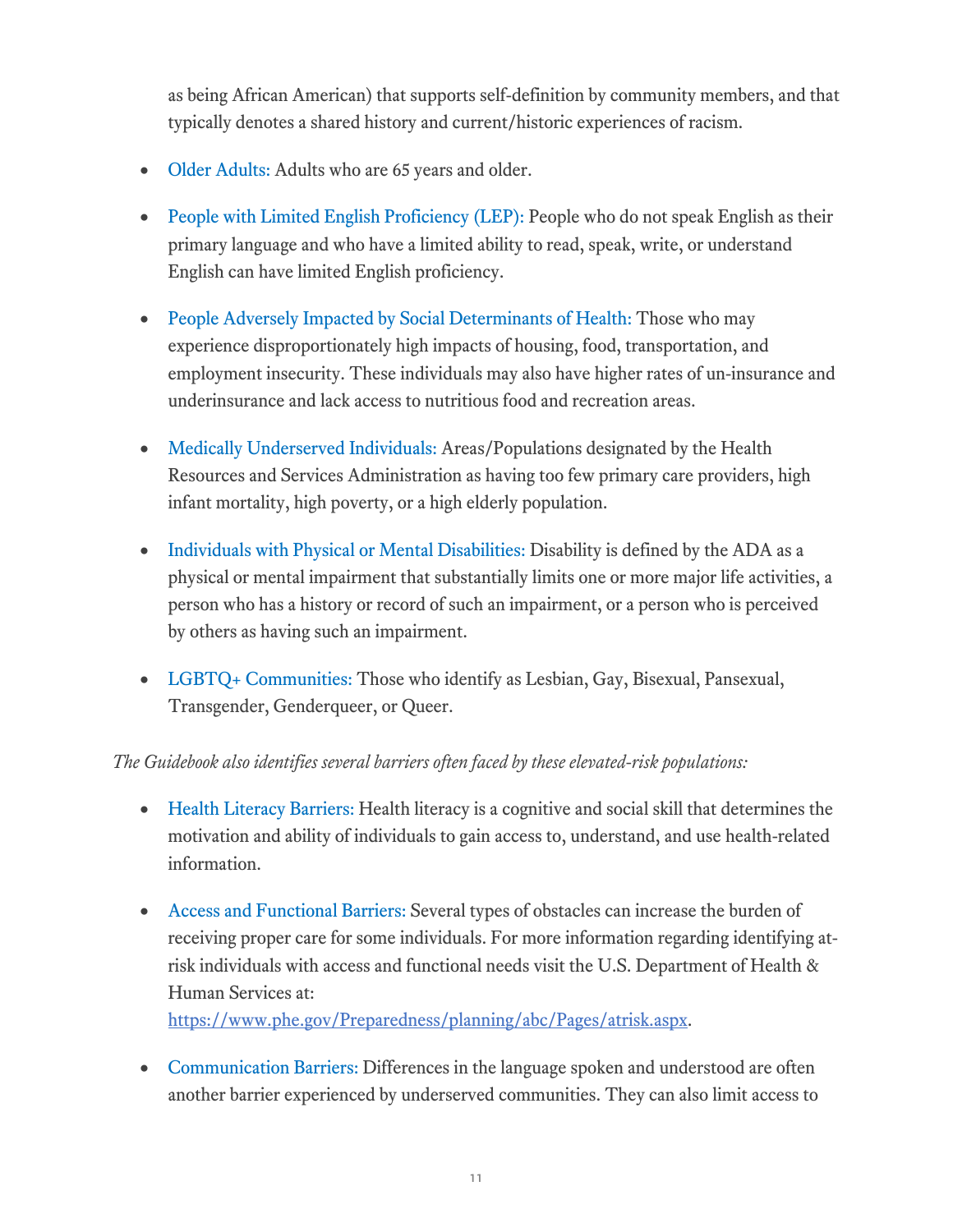as being African American) that supports self-definition by community members, and that typically denotes a shared history and current/historic experiences of racism.

- Older Adults: Adults who are 65 years and older.
- People with Limited English Proficiency (LEP): People who do not speak English as their primary language and who have a limited ability to read, speak, write, or understand English can have limited English proficiency.
- People Adversely Impacted by Social Determinants of Health: Those who may experience disproportionately high impacts of housing, food, transportation, and employment insecurity. These individuals may also have higher rates of un-insurance and underinsurance and lack access to nutritious food and recreation areas.
- Medically Underserved Individuals: Areas/Populations designated by the Health Resources and Services Administration as having too few primary care providers, high infant mortality, high poverty, or a high elderly population.
- Individuals with Physical or Mental Disabilities: Disability is defined by the ADA as a physical or mental impairment that substantially limits one or more major life activities, a person who has a history or record of such an impairment, or a person who is perceived by others as having such an impairment.
- LGBTQ+ Communities: Those who identify as Lesbian, Gay, Bisexual, Pansexual, Transgender, Genderqueer, or Queer.

## *The Guidebook also identifies several barriers often faced by these elevated-risk populations:*

- Health Literacy Barriers: Health literacy is a cognitive and social skill that determines the motivation and ability of individuals to gain access to, understand, and use health-related information.
- Access and Functional Barriers: Several types of obstacles can increase the burden of receiving proper care for some individuals. For more information regarding identifying atrisk individuals with access and functional needs visit the U.S. Department of Health & Human Services at:

[https://www.phe.gov/Preparedness/planning/abc/Pages/atrisk.aspx.](https://www.phe.gov/Preparedness/planning/abc/Pages/atrisk.aspx)

• Communication Barriers: Differences in the language spoken and understood are often another barrier experienced by underserved communities. They can also limit access to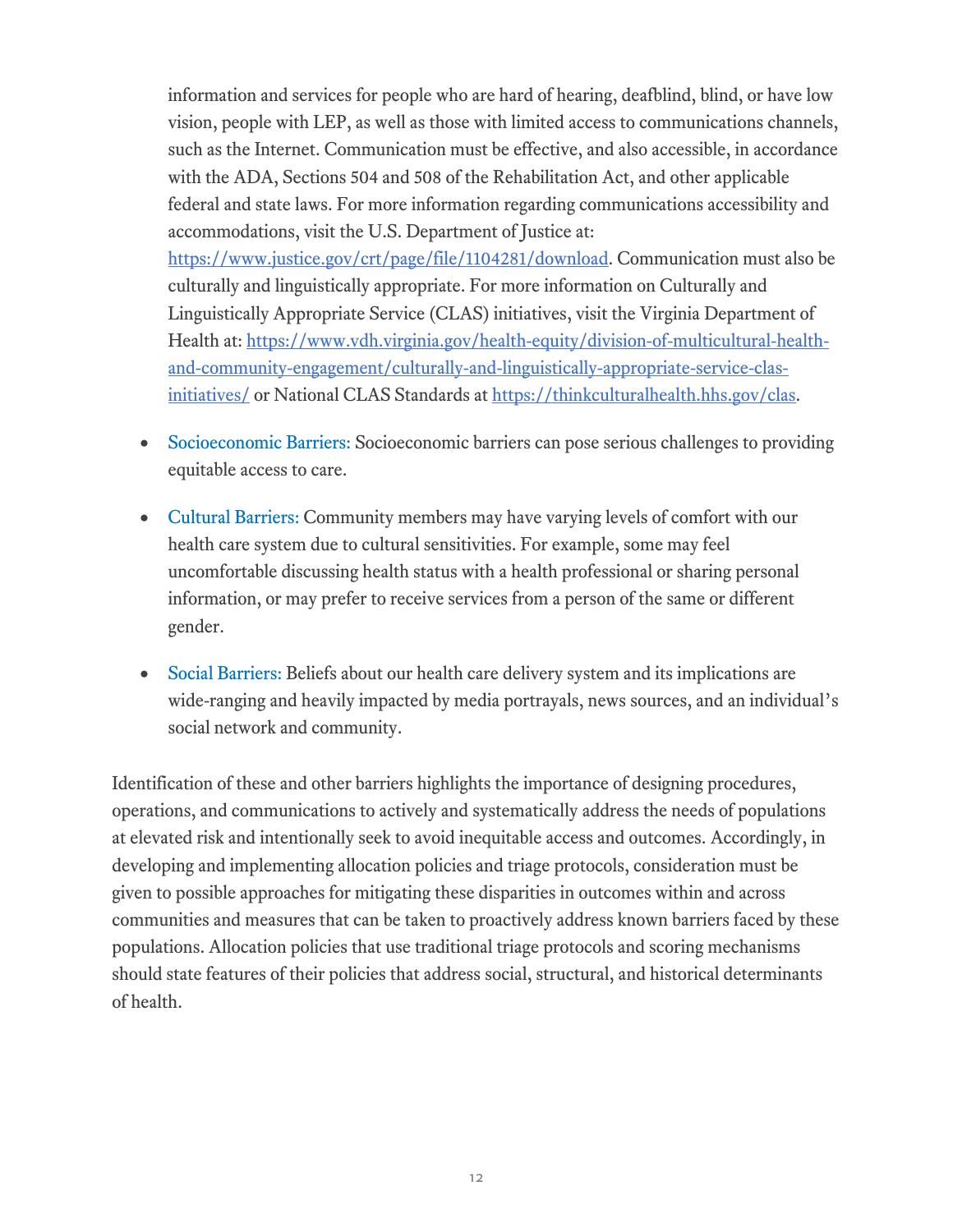information and services for people who are hard of hearing, deafblind, blind, or have low vision, people with LEP, as well as those with limited access to communications channels, such as the Internet. Communication must be effective, and also accessible, in accordance with the ADA, Sections 504 and 508 of the Rehabilitation Act, and other applicable federal and state laws. For more information regarding communications accessibility and accommodations, visit the U.S. Department of Justice at: [https://www.justice.gov/crt/page/file/1104281/download.](https://www.justice.gov/crt/page/file/1104281/download) Communication must also be culturally and linguistically appropriate. For more information on Culturally and Linguistically Appropriate Service (CLAS) initiatives, visit the Virginia Department of Health at: [https://www.vdh.virginia.gov/health-equity/division-of-multicultural-health](https://www.vdh.virginia.gov/health-equity/division-of-multicultural-health-and-community-engagement/culturally-and-linguistically-appropriate-service-clas-initiatives/)[and-community-engagement/culturally-and-linguistically-appropriate-service-clas](https://www.vdh.virginia.gov/health-equity/division-of-multicultural-health-and-community-engagement/culturally-and-linguistically-appropriate-service-clas-initiatives/)[initiatives/](https://www.vdh.virginia.gov/health-equity/division-of-multicultural-health-and-community-engagement/culturally-and-linguistically-appropriate-service-clas-initiatives/) or National CLAS Standards at https://thinkculturalhealth.hhs.gov/clas.

- Socioeconomic Barriers: Socioeconomic barriers can pose serious challenges to providing equitable access to care.
- Cultural Barriers: Community members may have varying levels of comfort with our health care system due to cultural sensitivities. For example, some may feel uncomfortable discussing health status with a health professional or sharing personal information, or may prefer to receive services from a person of the same or different gender.
- Social Barriers: Beliefs about our health care delivery system and its implications are wide-ranging and heavily impacted by media portrayals, news sources, and an individual's social network and community.

Identification of these and other barriers highlights the importance of designing procedures, operations, and communications to actively and systematically address the needs of populations at elevated risk and intentionally seek to avoid inequitable access and outcomes. Accordingly, in developing and implementing allocation policies and triage protocols, consideration must be given to possible approaches for mitigating these disparities in outcomes within and across communities and measures that can be taken to proactively address known barriers faced by these populations. Allocation policies that use traditional triage protocols and scoring mechanisms should state features of their policies that address social, structural, and historical determinants of health.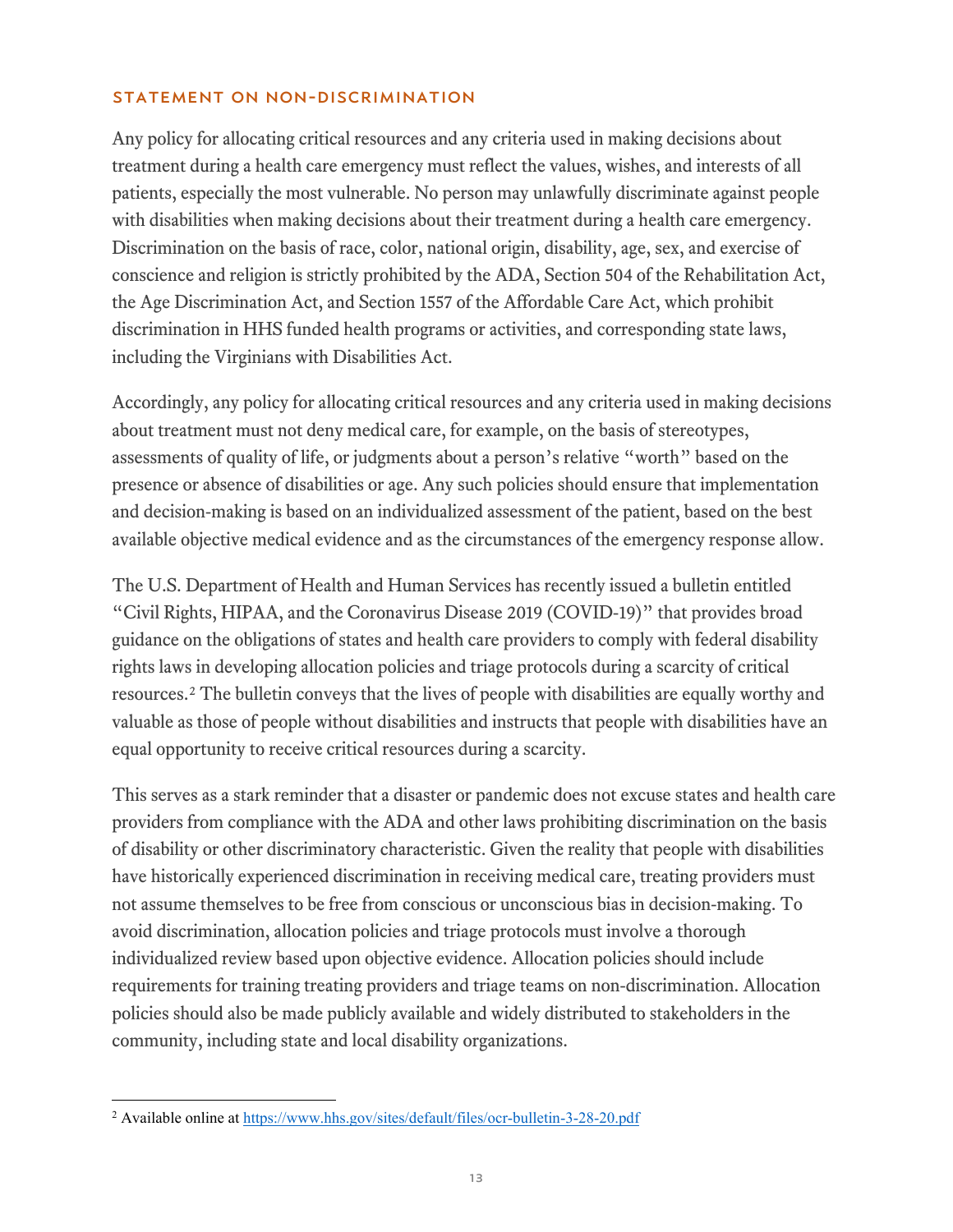#### STATEMENT ON NON-DISCRIMINATION

Any policy for allocating critical resources and any criteria used in making decisions about treatment during a health care emergency must reflect the values, wishes, and interests of all patients, especially the most vulnerable. No person may unlawfully discriminate against people with disabilities when making decisions about their treatment during a health care emergency. Discrimination on the basis of race, color, national origin, disability, age, sex, and exercise of conscience and religion is strictly prohibited by the ADA, Section 504 of the Rehabilitation Act, the Age Discrimination Act, and Section 1557 of the Affordable Care Act, which prohibit discrimination in HHS funded health programs or activities, and corresponding state laws, including the Virginians with Disabilities Act.

Accordingly, any policy for allocating critical resources and any criteria used in making decisions about treatment must not deny medical care, for example, on the basis of stereotypes, assessments of quality of life, or judgments about a person's relative "worth" based on the presence or absence of disabilities or age. Any such policies should ensure that implementation and decision-making is based on an individualized assessment of the patient, based on the best available objective medical evidence and as the circumstances of the emergency response allow.

The U.S. Department of Health and Human Services has recently issued a bulletin entitled "Civil Rights, HIPAA, and the Coronavirus Disease 2019 (COVID-19)" that provides broad guidance on the obligations of states and health care providers to comply with federal disability rights laws in developing allocation policies and triage protocols during a scarcity of critical resources.[2](#page-12-0) The bulletin conveys that the lives of people with disabilities are equally worthy and valuable as those of people without disabilities and instructs that people with disabilities have an equal opportunity to receive critical resources during a scarcity.

This serves as a stark reminder that a disaster or pandemic does not excuse states and health care providers from compliance with the ADA and other laws prohibiting discrimination on the basis of disability or other discriminatory characteristic. Given the reality that people with disabilities have historically experienced discrimination in receiving medical care, treating providers must not assume themselves to be free from conscious or unconscious bias in decision-making. To avoid discrimination, allocation policies and triage protocols must involve a thorough individualized review based upon objective evidence. Allocation policies should include requirements for training treating providers and triage teams on non-discrimination. Allocation policies should also be made publicly available and widely distributed to stakeholders in the community, including state and local disability organizations.

<span id="page-12-0"></span> <sup>2</sup> Available online at<https://www.hhs.gov/sites/default/files/ocr-bulletin-3-28-20.pdf>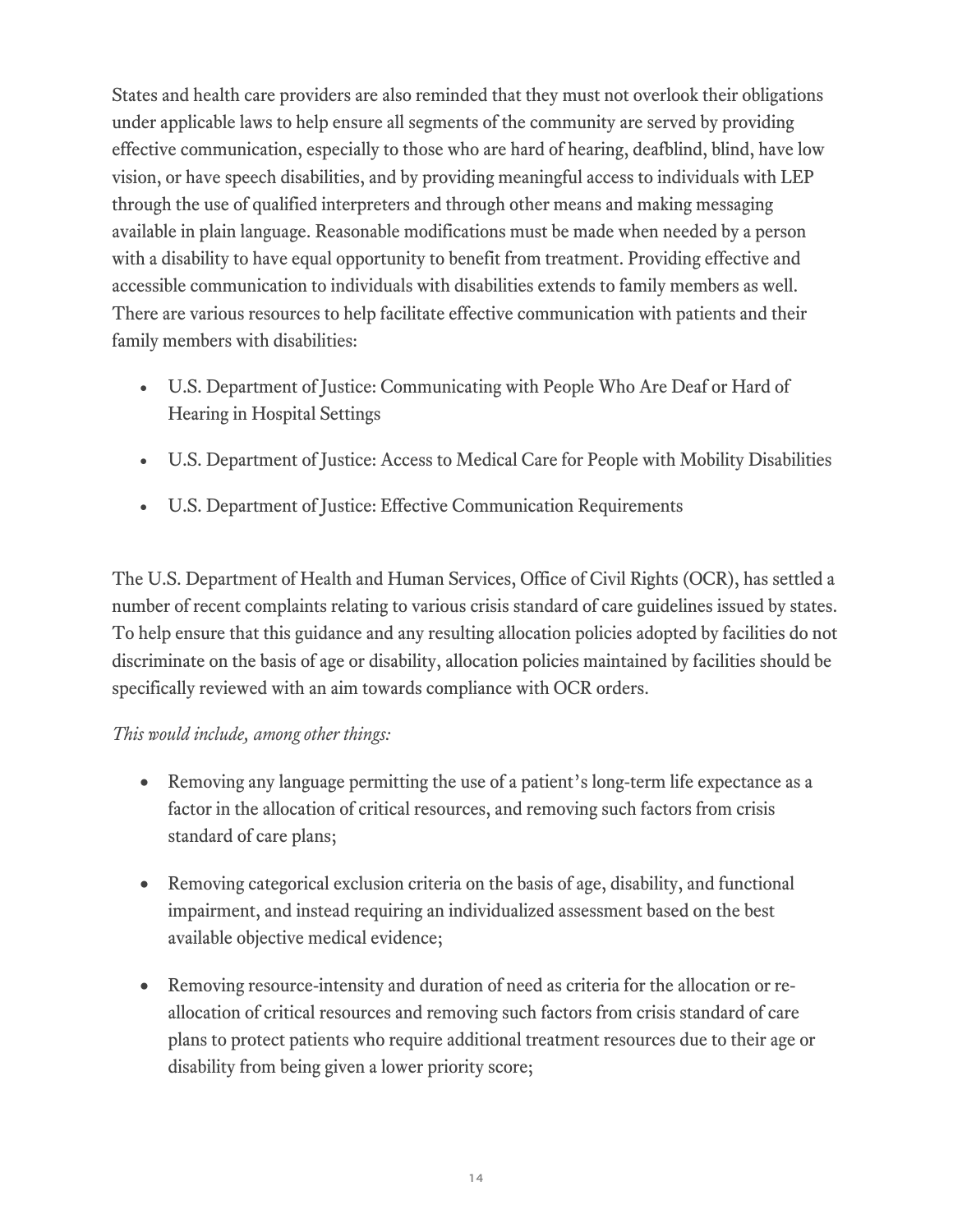States and health care providers are also reminded that they must not overlook their obligations under applicable laws to help ensure all segments of the community are served by providing effective communication, especially to those who are hard of hearing, deafblind, blind, have low vision, or have speech disabilities, and by providing meaningful access to individuals with LEP through the use of qualified interpreters and through other means and making messaging available in plain language. Reasonable modifications must be made when needed by a person with a disability to have equal opportunity to benefit from treatment. Providing effective and accessible communication to individuals with disabilities extends to family members as well. There are various resources to help facilitate effective communication with patients and their family members with disabilities:

- [U.S. Department of Justice: Communicating with People Who Are Deaf or Hard of](https://www.ada.gov/hospcombr.htm)  [Hearing in Hospital Settings](https://www.ada.gov/hospcombr.htm)
- [U.S. Department of Justice: Access to Medical Care for People with Mobility Disabilities](https://www.ada.gov/medcare_mobility_ta/medcare_ta.htm)
- [U.S. Department of Justice: Effective Communication Requirements](https://www.ada.gov/effective-comm.htm)

The U.S. Department of Health and Human Services, Office of Civil Rights (OCR), has settled a number of recent complaints relating to various crisis standard of care guidelines issued by states. To help ensure that this guidance and any resulting allocation policies adopted by facilities do not discriminate on the basis of age or disability, allocation policies maintained by facilities should be specifically reviewed with an aim towards compliance with OCR orders.

## *This would include, among other things:*

- Removing any language permitting the use of a patient's long-term life expectance as a factor in the allocation of critical resources, and removing such factors from crisis standard of care plans;
- Removing categorical exclusion criteria on the basis of age, disability, and functional impairment, and instead requiring an individualized assessment based on the best available objective medical evidence;
- Removing resource-intensity and duration of need as criteria for the allocation or reallocation of critical resources and removing such factors from crisis standard of care plans to protect patients who require additional treatment resources due to their age or disability from being given a lower priority score;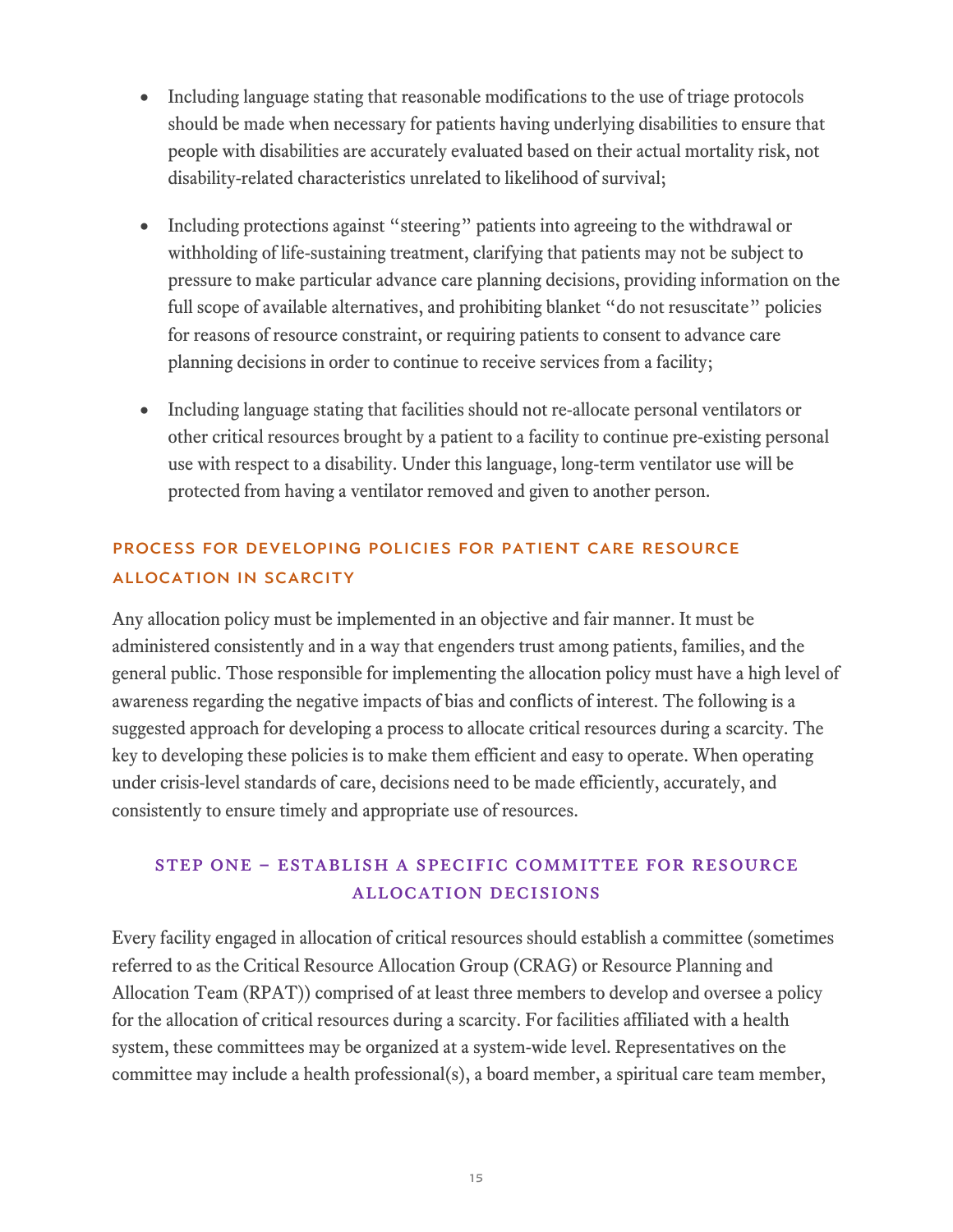- Including language stating that reasonable modifications to the use of triage protocols should be made when necessary for patients having underlying disabilities to ensure that people with disabilities are accurately evaluated based on their actual mortality risk, not disability-related characteristics unrelated to likelihood of survival;
- Including protections against "steering" patients into agreeing to the withdrawal or withholding of life-sustaining treatment, clarifying that patients may not be subject to pressure to make particular advance care planning decisions, providing information on the full scope of available alternatives, and prohibiting blanket "do not resuscitate" policies for reasons of resource constraint, or requiring patients to consent to advance care planning decisions in order to continue to receive services from a facility;
- Including language stating that facilities should not re-allocate personal ventilators or other critical resources brought by a patient to a facility to continue pre-existing personal use with respect to a disability. Under this language, long-term ventilator use will be protected from having a ventilator removed and given to another person.

## PROCESS FOR DEVELOPING POLICIES FOR PATIENT CARE RESOURCE ALLOCATION IN SCARCITY

Any allocation policy must be implemented in an objective and fair manner. It must be administered consistently and in a way that engenders trust among patients, families, and the general public. Those responsible for implementing the allocation policy must have a high level of awareness regarding the negative impacts of bias and conflicts of interest. The following is a suggested approach for developing a process to allocate critical resources during a scarcity. The key to developing these policies is to make them efficient and easy to operate. When operating under crisis-level standards of care, decisions need to be made efficiently, accurately, and consistently to ensure timely and appropriate use of resources.

# Step one – Establish a Specific Committee for Resource Allocation Decisions

Every facility engaged in allocation of critical resources should establish a committee (sometimes referred to as the Critical Resource Allocation Group (CRAG) or Resource Planning and Allocation Team (RPAT)) comprised of at least three members to develop and oversee a policy for the allocation of critical resources during a scarcity. For facilities affiliated with a health system, these committees may be organized at a system-wide level. Representatives on the committee may include a health professional(s), a board member, a spiritual care team member,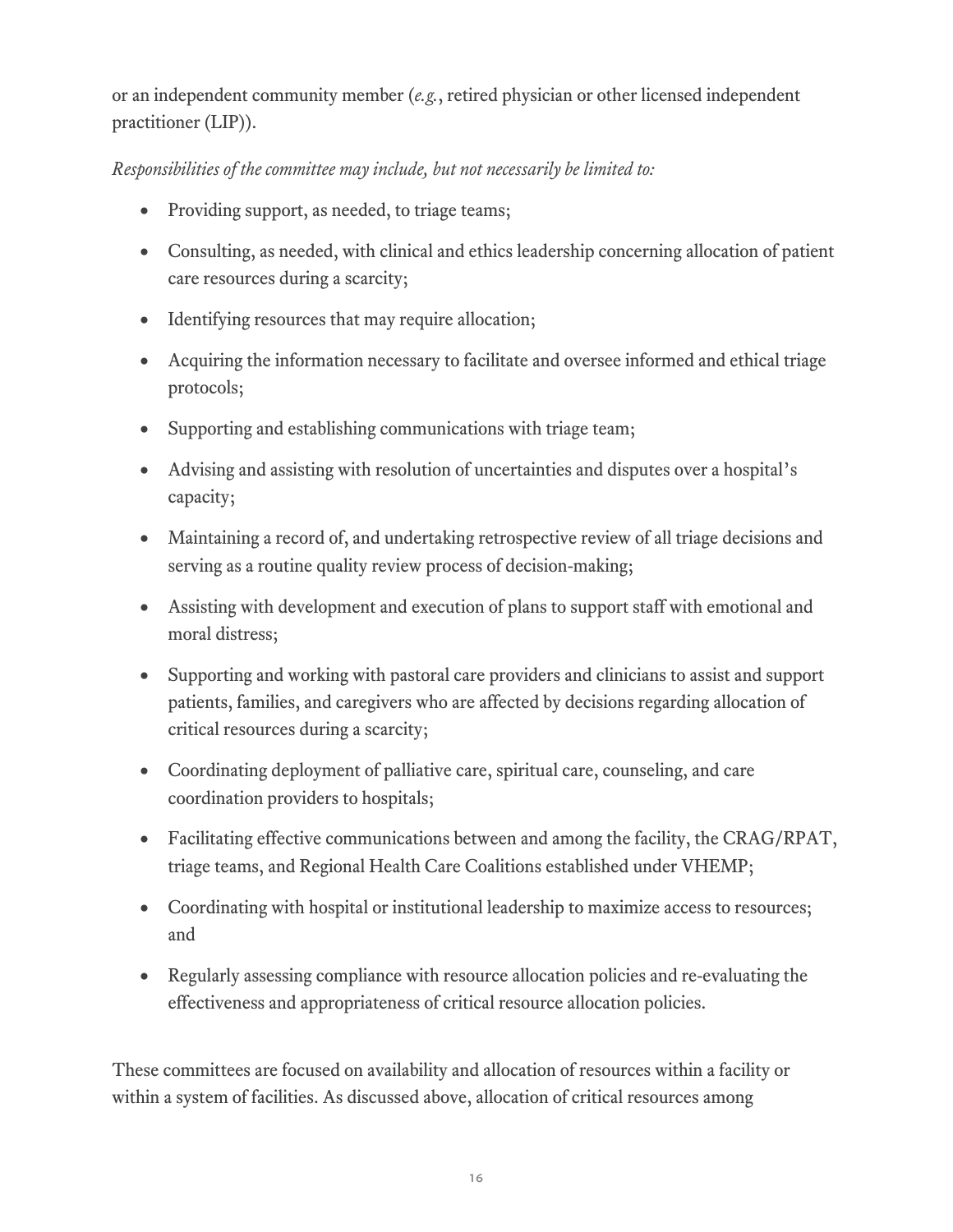or an independent community member (*e.g.*, retired physician or other licensed independent practitioner (LIP)).

## *Responsibilities of the committee may include, but not necessarily be limited to:*

- Providing support, as needed, to triage teams;
- Consulting, as needed, with clinical and ethics leadership concerning allocation of patient care resources during a scarcity;
- Identifying resources that may require allocation;
- Acquiring the information necessary to facilitate and oversee informed and ethical triage protocols;
- Supporting and establishing communications with triage team;
- Advising and assisting with resolution of uncertainties and disputes over a hospital's capacity;
- Maintaining a record of, and undertaking retrospective review of all triage decisions and serving as a routine quality review process of decision-making;
- Assisting with development and execution of plans to support staff with emotional and moral distress;
- Supporting and working with pastoral care providers and clinicians to assist and support patients, families, and caregivers who are affected by decisions regarding allocation of critical resources during a scarcity;
- Coordinating deployment of palliative care, spiritual care, counseling, and care coordination providers to hospitals;
- Facilitating effective communications between and among the facility, the CRAG/RPAT, triage teams, and Regional Health Care Coalitions established under VHEMP;
- Coordinating with hospital or institutional leadership to maximize access to resources; and
- Regularly assessing compliance with resource allocation policies and re-evaluating the effectiveness and appropriateness of critical resource allocation policies.

These committees are focused on availability and allocation of resources within a facility or within a system of facilities. As discussed above, allocation of critical resources among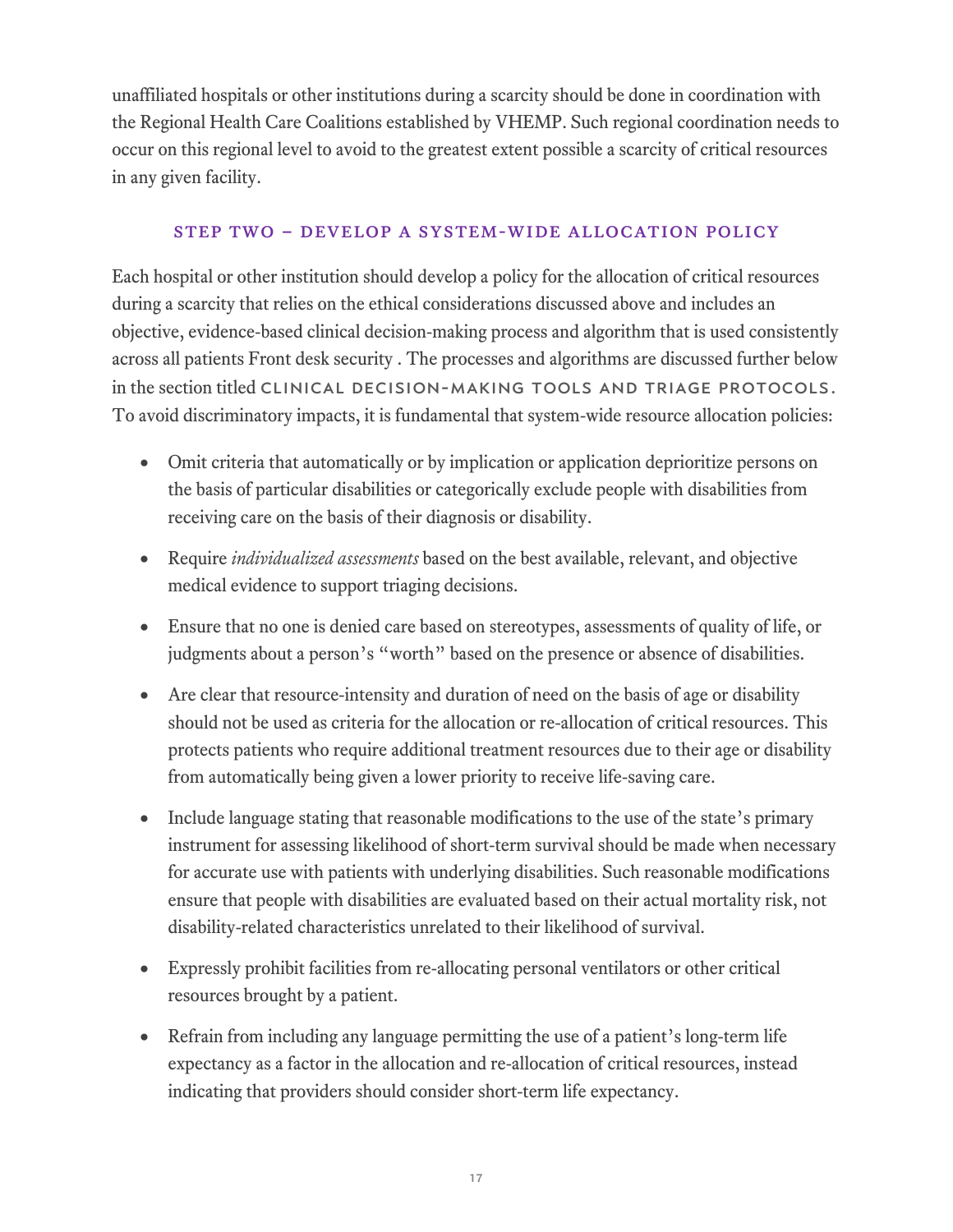unaffiliated hospitals or other institutions during a scarcity should be done in coordination with the Regional Health Care Coalitions established by VHEMP. Such regional coordination needs to occur on this regional level to avoid to the greatest extent possible a scarcity of critical resources in any given facility.

#### Step two – Develop a System-Wide Allocation Policy

Each hospital or other institution should develop a policy for the allocation of critical resources during a scarcity that relies on the ethical considerations discussed above and includes an objective, evidence-based clinical decision-making process and algorithm that is used consistently across all patients Front desk security . The processes and algorithms are discussed further below in the section titled CLINICAL DECISION-MAKING TOOLS AND TRIAGE PROTOCOLS. To avoid discriminatory impacts, it is fundamental that system-wide resource allocation policies:

- Omit criteria that automatically or by implication or application deprioritize persons on the basis of particular disabilities or categorically exclude people with disabilities from receiving care on the basis of their diagnosis or disability.
- Require *individualized assessments* based on the best available, relevant, and objective medical evidence to support triaging decisions.
- Ensure that no one is denied care based on stereotypes, assessments of quality of life, or judgments about a person's "worth" based on the presence or absence of disabilities.
- Are clear that resource-intensity and duration of need on the basis of age or disability should not be used as criteria for the allocation or re-allocation of critical resources. This protects patients who require additional treatment resources due to their age or disability from automatically being given a lower priority to receive life-saving care.
- Include language stating that reasonable modifications to the use of the state's primary instrument for assessing likelihood of short-term survival should be made when necessary for accurate use with patients with underlying disabilities. Such reasonable modifications ensure that people with disabilities are evaluated based on their actual mortality risk, not disability-related characteristics unrelated to their likelihood of survival.
- Expressly prohibit facilities from re-allocating personal ventilators or other critical resources brought by a patient.
- Refrain from including any language permitting the use of a patient's long-term life expectancy as a factor in the allocation and re-allocation of critical resources, instead indicating that providers should consider short-term life expectancy.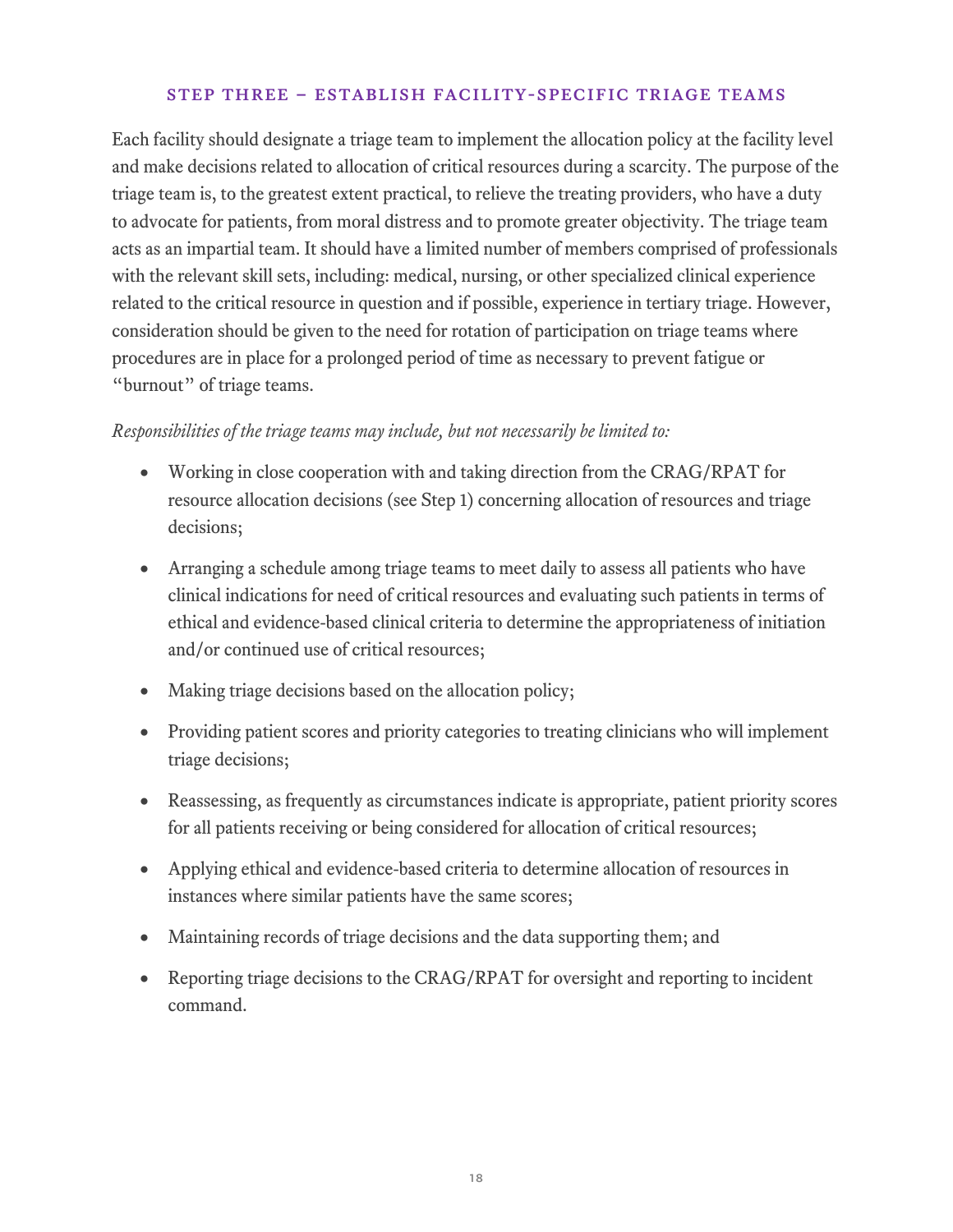#### Step three – Establish Facility-Specific Triage Teams

Each facility should designate a triage team to implement the allocation policy at the facility level and make decisions related to allocation of critical resources during a scarcity. The purpose of the triage team is, to the greatest extent practical, to relieve the treating providers, who have a duty to advocate for patients, from moral distress and to promote greater objectivity. The triage team acts as an impartial team. It should have a limited number of members comprised of professionals with the relevant skill sets, including: medical, nursing, or other specialized clinical experience related to the critical resource in question and if possible, experience in tertiary triage. However, consideration should be given to the need for rotation of participation on triage teams where procedures are in place for a prolonged period of time as necessary to prevent fatigue or "burnout" of triage teams.

#### *Responsibilities of the triage teams may include, but not necessarily be limited to:*

- Working in close cooperation with and taking direction from the CRAG/RPAT for resource allocation decisions (see Step 1) concerning allocation of resources and triage decisions;
- Arranging a schedule among triage teams to meet daily to assess all patients who have clinical indications for need of critical resources and evaluating such patients in terms of ethical and evidence-based clinical criteria to determine the appropriateness of initiation and/or continued use of critical resources;
- Making triage decisions based on the allocation policy;
- Providing patient scores and priority categories to treating clinicians who will implement triage decisions;
- Reassessing, as frequently as circumstances indicate is appropriate, patient priority scores for all patients receiving or being considered for allocation of critical resources;
- Applying ethical and evidence-based criteria to determine allocation of resources in instances where similar patients have the same scores;
- Maintaining records of triage decisions and the data supporting them; and
- Reporting triage decisions to the CRAG/RPAT for oversight and reporting to incident command.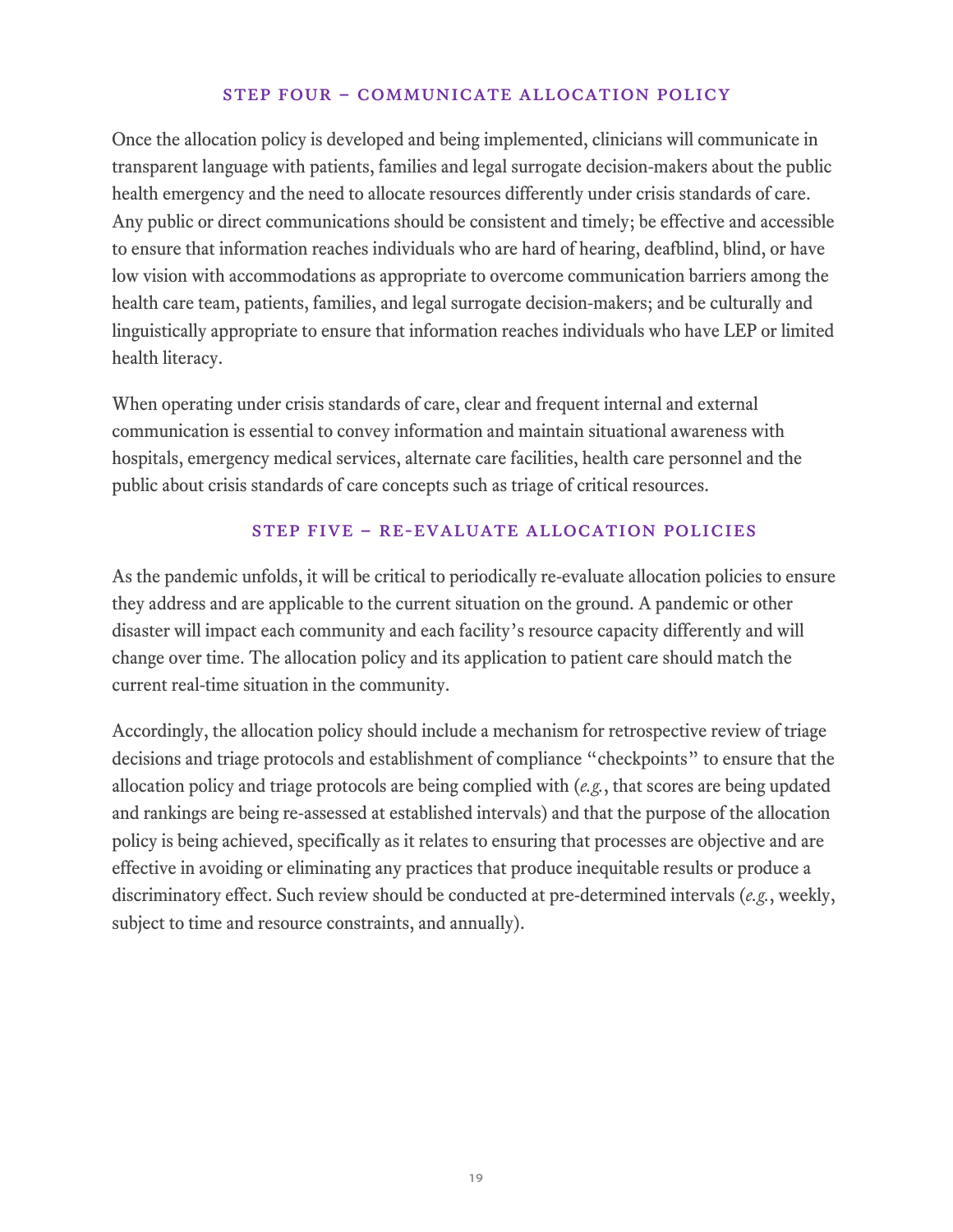#### Step four – Communicate Allocation Policy

Once the allocation policy is developed and being implemented, clinicians will communicate in transparent language with patients, families and legal surrogate decision-makers about the public health emergency and the need to allocate resources differently under crisis standards of care. Any public or direct communications should be consistent and timely; be effective and accessible to ensure that information reaches individuals who are hard of hearing, deafblind, blind, or have low vision with accommodations as appropriate to overcome communication barriers among the health care team, patients, families, and legal surrogate decision-makers; and be culturally and linguistically appropriate to ensure that information reaches individuals who have LEP or limited health literacy.

When operating under crisis standards of care, clear and frequent internal and external communication is essential to convey information and maintain situational awareness with hospitals, emergency medical services, alternate care facilities, health care personnel and the public about crisis standards of care concepts such as triage of critical resources.

#### Step five – Re-Evaluate Allocation Policies

As the pandemic unfolds, it will be critical to periodically re-evaluate allocation policies to ensure they address and are applicable to the current situation on the ground. A pandemic or other disaster will impact each community and each facility's resource capacity differently and will change over time. The allocation policy and its application to patient care should match the current real-time situation in the community.

Accordingly, the allocation policy should include a mechanism for retrospective review of triage decisions and triage protocols and establishment of compliance "checkpoints" to ensure that the allocation policy and triage protocols are being complied with (*e.g.*, that scores are being updated and rankings are being re-assessed at established intervals) and that the purpose of the allocation policy is being achieved, specifically as it relates to ensuring that processes are objective and are effective in avoiding or eliminating any practices that produce inequitable results or produce a discriminatory effect. Such review should be conducted at pre-determined intervals (*e.g.*, weekly, subject to time and resource constraints, and annually).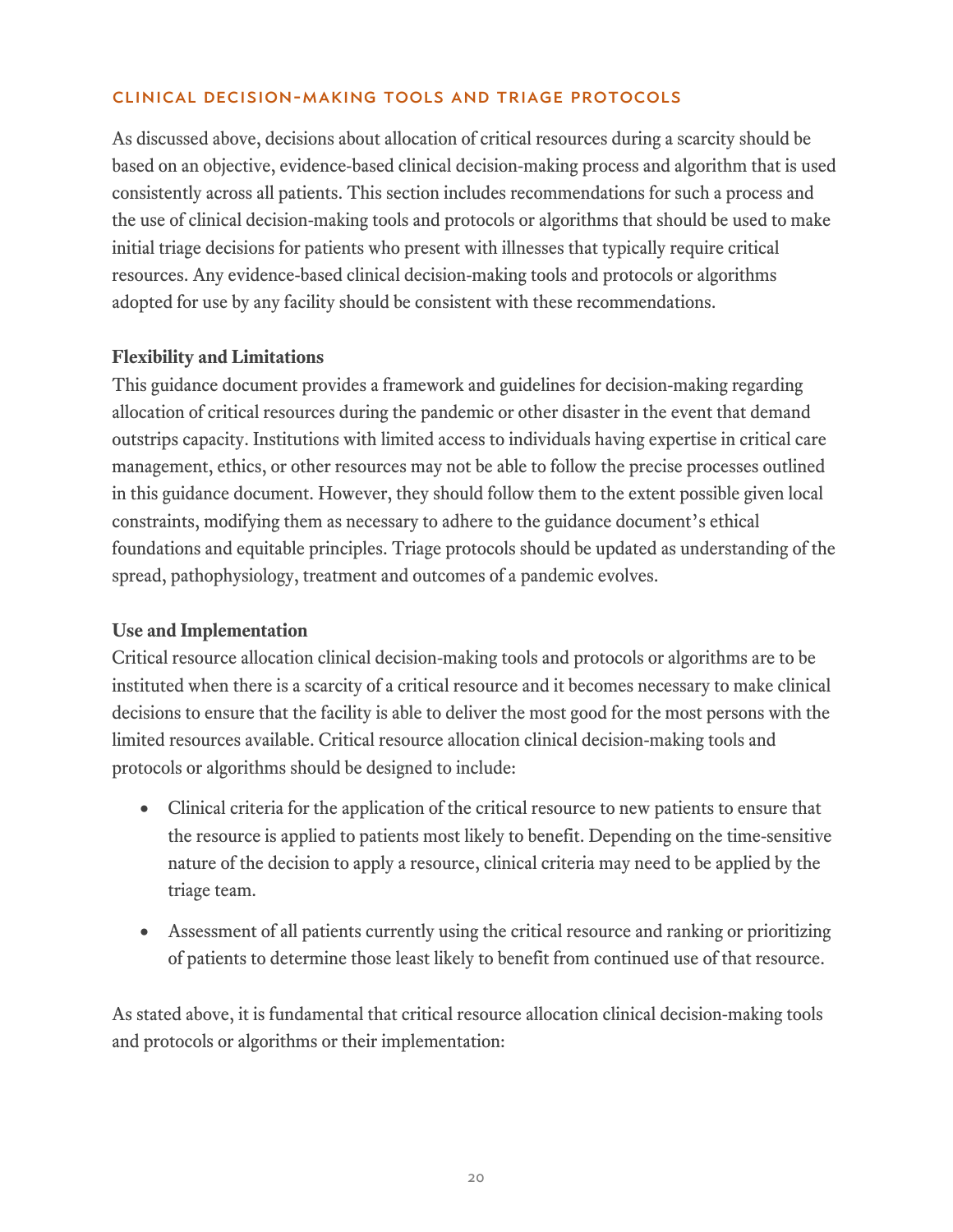#### CLINICAL DECISION-MAKING TOOLS AND TRIAGE PROTOCOLS

As discussed above, decisions about allocation of critical resources during a scarcity should be based on an objective, evidence-based clinical decision-making process and algorithm that is used consistently across all patients. This section includes recommendations for such a process and the use of clinical decision-making tools and protocols or algorithms that should be used to make initial triage decisions for patients who present with illnesses that typically require critical resources. Any evidence-based clinical decision-making tools and protocols or algorithms adopted for use by any facility should be consistent with these recommendations.

### **Flexibility and Limitations**

This guidance document provides a framework and guidelines for decision-making regarding allocation of critical resources during the pandemic or other disaster in the event that demand outstrips capacity. Institutions with limited access to individuals having expertise in critical care management, ethics, or other resources may not be able to follow the precise processes outlined in this guidance document. However, they should follow them to the extent possible given local constraints, modifying them as necessary to adhere to the guidance document's ethical foundations and equitable principles. Triage protocols should be updated as understanding of the spread, pathophysiology, treatment and outcomes of a pandemic evolves.

#### **Use and Implementation**

Critical resource allocation clinical decision-making tools and protocols or algorithms are to be instituted when there is a scarcity of a critical resource and it becomes necessary to make clinical decisions to ensure that the facility is able to deliver the most good for the most persons with the limited resources available. Critical resource allocation clinical decision-making tools and protocols or algorithms should be designed to include:

- Clinical criteria for the application of the critical resource to new patients to ensure that the resource is applied to patients most likely to benefit. Depending on the time-sensitive nature of the decision to apply a resource, clinical criteria may need to be applied by the triage team.
- Assessment of all patients currently using the critical resource and ranking or prioritizing of patients to determine those least likely to benefit from continued use of that resource.

As stated above, it is fundamental that critical resource allocation clinical decision-making tools and protocols or algorithms or their implementation: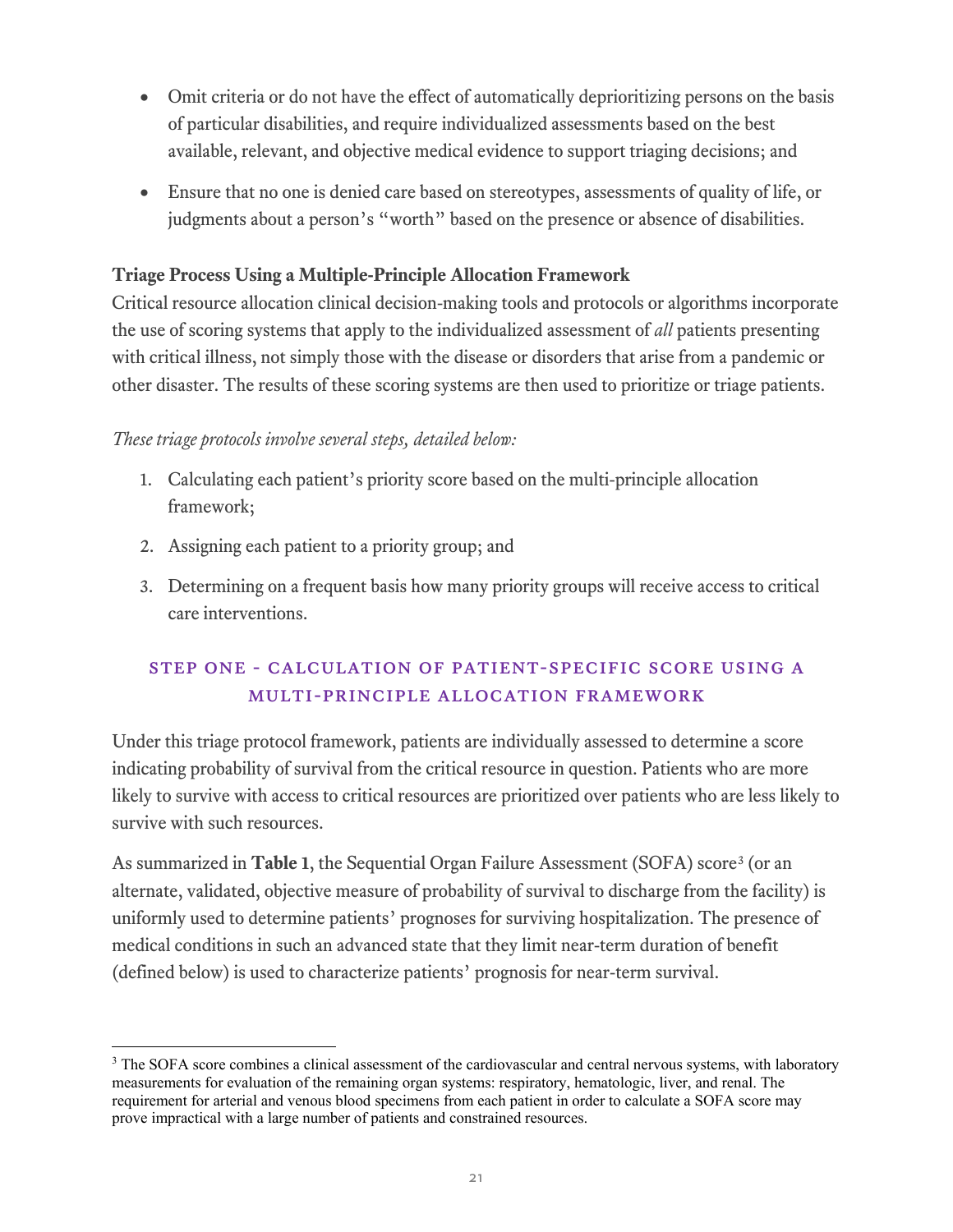- Omit criteria or do not have the effect of automatically deprioritizing persons on the basis of particular disabilities, and require individualized assessments based on the best available, relevant, and objective medical evidence to support triaging decisions; and
- Ensure that no one is denied care based on stereotypes, assessments of quality of life, or judgments about a person's "worth" based on the presence or absence of disabilities.

## **Triage Process Using a Multiple-Principle Allocation Framework**

Critical resource allocation clinical decision-making tools and protocols or algorithms incorporate the use of scoring systems that apply to the individualized assessment of *all* patients presenting with critical illness, not simply those with the disease or disorders that arise from a pandemic or other disaster. The results of these scoring systems are then used to prioritize or triage patients.

### *These triage protocols involve several steps, detailed below:*

- 1. Calculating each patient's priority score based on the multi-principle allocation framework;
- 2. Assigning each patient to a priority group; and
- 3. Determining on a frequent basis how many priority groups will receive access to critical care interventions.

# Step one - Calculation of Patient-Specific Score Using a Multi-Principle Allocation Framework

Under this triage protocol framework, patients are individually assessed to determine a score indicating probability of survival from the critical resource in question. Patients who are more likely to survive with access to critical resources are prioritized over patients who are less likely to survive with such resources.

As summarized in **Table 1**, the Sequential Organ Failure Assessment (SOFA) score<sup>[3](#page-20-0)</sup> (or an alternate, validated, objective measure of probability of survival to discharge from the facility) is uniformly used to determine patients' prognoses for surviving hospitalization. The presence of medical conditions in such an advanced state that they limit near-term duration of benefit (defined below) is used to characterize patients' prognosis for near-term survival.

<span id="page-20-0"></span><sup>&</sup>lt;sup>3</sup> The SOFA score combines a clinical assessment of the cardiovascular and central nervous systems, with laboratory measurements for evaluation of the remaining organ systems: respiratory, hematologic, liver, and renal. The requirement for arterial and venous blood specimens from each patient in order to calculate a SOFA score may prove impractical with a large number of patients and constrained resources.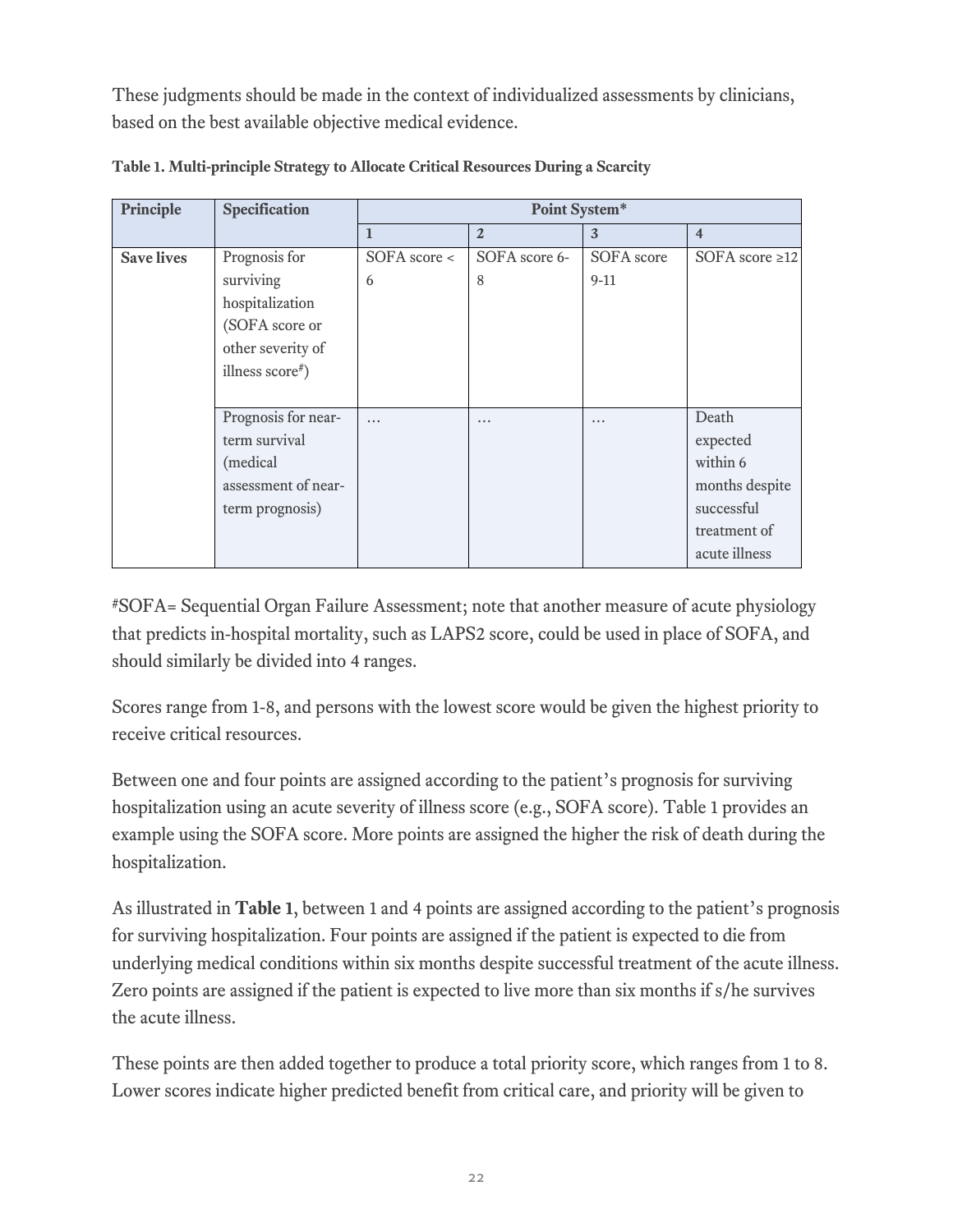These judgments should be made in the context of individualized assessments by clinicians, based on the best available objective medical evidence.

| Principle         | Specification       | Point System*      |                |            |                         |  |
|-------------------|---------------------|--------------------|----------------|------------|-------------------------|--|
|                   |                     | 1                  | $\overline{2}$ | 3          | $\overline{\mathbf{4}}$ |  |
| <b>Save lives</b> | Prognosis for       | $SOFA$ score $\lt$ | SOFA score 6-  | SOFA score | SOFA score $\geq$ 12    |  |
|                   | surviving           | 6                  | 8              | $9-11$     |                         |  |
|                   | hospitalization     |                    |                |            |                         |  |
|                   | (SOFA score or      |                    |                |            |                         |  |
|                   | other severity of   |                    |                |            |                         |  |
|                   | illness score#)     |                    |                |            |                         |  |
|                   |                     |                    |                |            |                         |  |
|                   | Prognosis for near- | $\ddotsc$          | $\cdots$       | $\cdots$   | Death                   |  |
|                   | term survival       |                    |                |            | expected                |  |
|                   | (medical)           |                    |                |            | within 6                |  |
|                   | assessment of near- |                    |                |            | months despite          |  |
|                   | term prognosis)     |                    |                |            | successful              |  |
|                   |                     |                    |                |            | treatment of            |  |
|                   |                     |                    |                |            | acute illness           |  |

**Table 1. Multi-principle Strategy to Allocate Critical Resources During a Scarcity** 

#SOFA= Sequential Organ Failure Assessment; note that another measure of acute physiology that predicts in-hospital mortality, such as LAPS2 score, could be used in place of SOFA, and should similarly be divided into 4 ranges.

Scores range from 1-8, and persons with the lowest score would be given the highest priority to receive critical resources.

Between one and four points are assigned according to the patient's prognosis for surviving hospitalization using an acute severity of illness score (e.g., SOFA score). Table 1 provides an example using the SOFA score. More points are assigned the higher the risk of death during the hospitalization.

As illustrated in **Table 1**, between 1 and 4 points are assigned according to the patient's prognosis for surviving hospitalization. Four points are assigned if the patient is expected to die from underlying medical conditions within six months despite successful treatment of the acute illness. Zero points are assigned if the patient is expected to live more than six months if s/he survives the acute illness.

These points are then added together to produce a total priority score, which ranges from 1 to 8. Lower scores indicate higher predicted benefit from critical care, and priority will be given to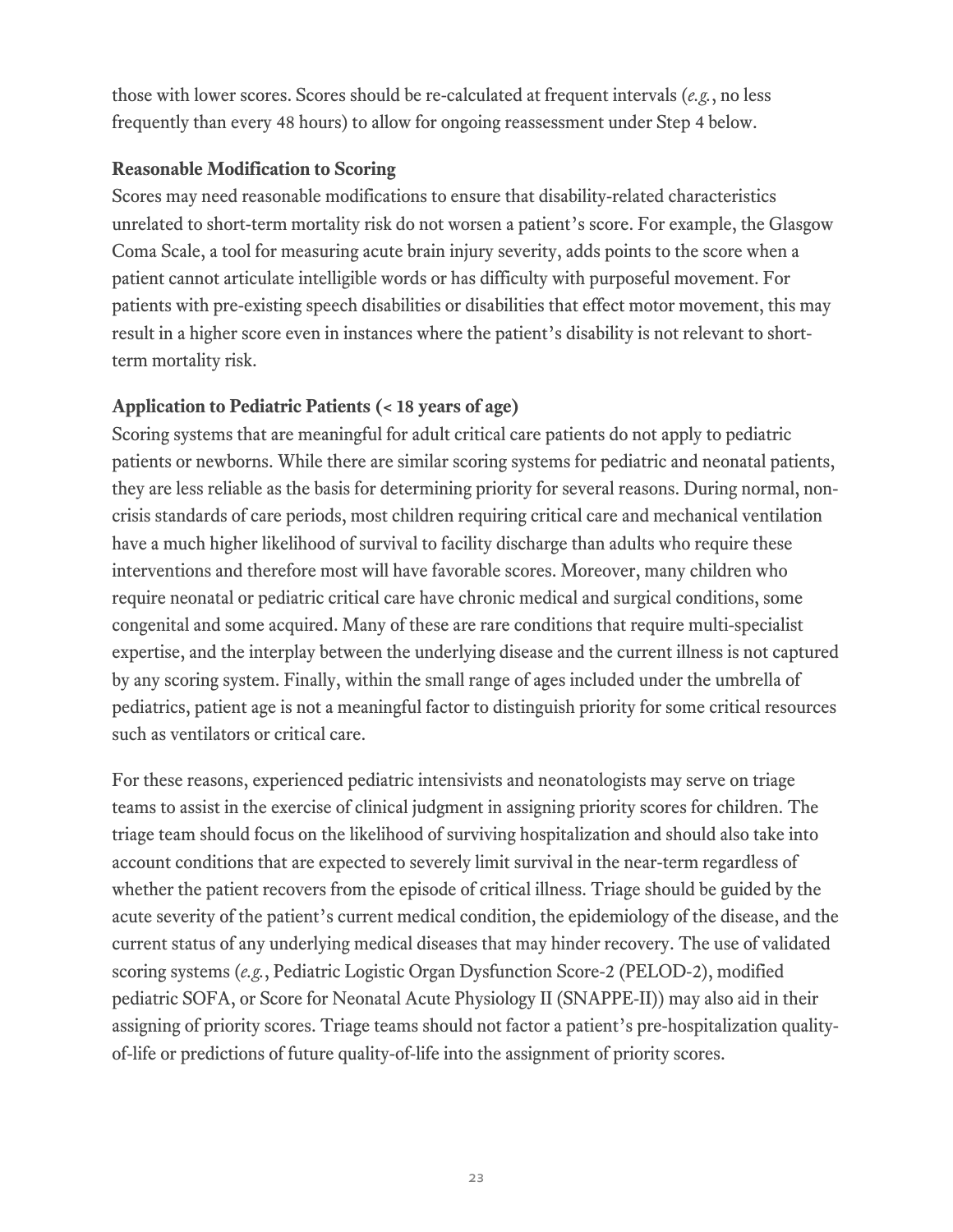those with lower scores. Scores should be re-calculated at frequent intervals (*e.g.*, no less frequently than every 48 hours) to allow for ongoing reassessment under Step 4 below.

### **Reasonable Modification to Scoring**

Scores may need reasonable modifications to ensure that disability-related characteristics unrelated to short-term mortality risk do not worsen a patient's score. For example, the Glasgow Coma Scale, a tool for measuring acute brain injury severity, adds points to the score when a patient cannot articulate intelligible words or has difficulty with purposeful movement. For patients with pre-existing speech disabilities or disabilities that effect motor movement, this may result in a higher score even in instances where the patient's disability is not relevant to shortterm mortality risk.

## **Application to Pediatric Patients (< 18 years of age)**

Scoring systems that are meaningful for adult critical care patients do not apply to pediatric patients or newborns. While there are similar scoring systems for pediatric and neonatal patients, they are less reliable as the basis for determining priority for several reasons. During normal, noncrisis standards of care periods, most children requiring critical care and mechanical ventilation have a much higher likelihood of survival to facility discharge than adults who require these interventions and therefore most will have favorable scores. Moreover, many children who require neonatal or pediatric critical care have chronic medical and surgical conditions, some congenital and some acquired. Many of these are rare conditions that require multi-specialist expertise, and the interplay between the underlying disease and the current illness is not captured by any scoring system. Finally, within the small range of ages included under the umbrella of pediatrics, patient age is not a meaningful factor to distinguish priority for some critical resources such as ventilators or critical care.

For these reasons, experienced pediatric intensivists and neonatologists may serve on triage teams to assist in the exercise of clinical judgment in assigning priority scores for children. The triage team should focus on the likelihood of surviving hospitalization and should also take into account conditions that are expected to severely limit survival in the near-term regardless of whether the patient recovers from the episode of critical illness. Triage should be guided by the acute severity of the patient's current medical condition, the epidemiology of the disease, and the current status of any underlying medical diseases that may hinder recovery. The use of validated scoring systems (*e.g.*, Pediatric Logistic Organ Dysfunction Score-2 (PELOD-2), modified pediatric SOFA, or Score for Neonatal Acute Physiology II (SNAPPE-II)) may also aid in their assigning of priority scores. Triage teams should not factor a patient's pre-hospitalization qualityof-life or predictions of future quality-of-life into the assignment of priority scores.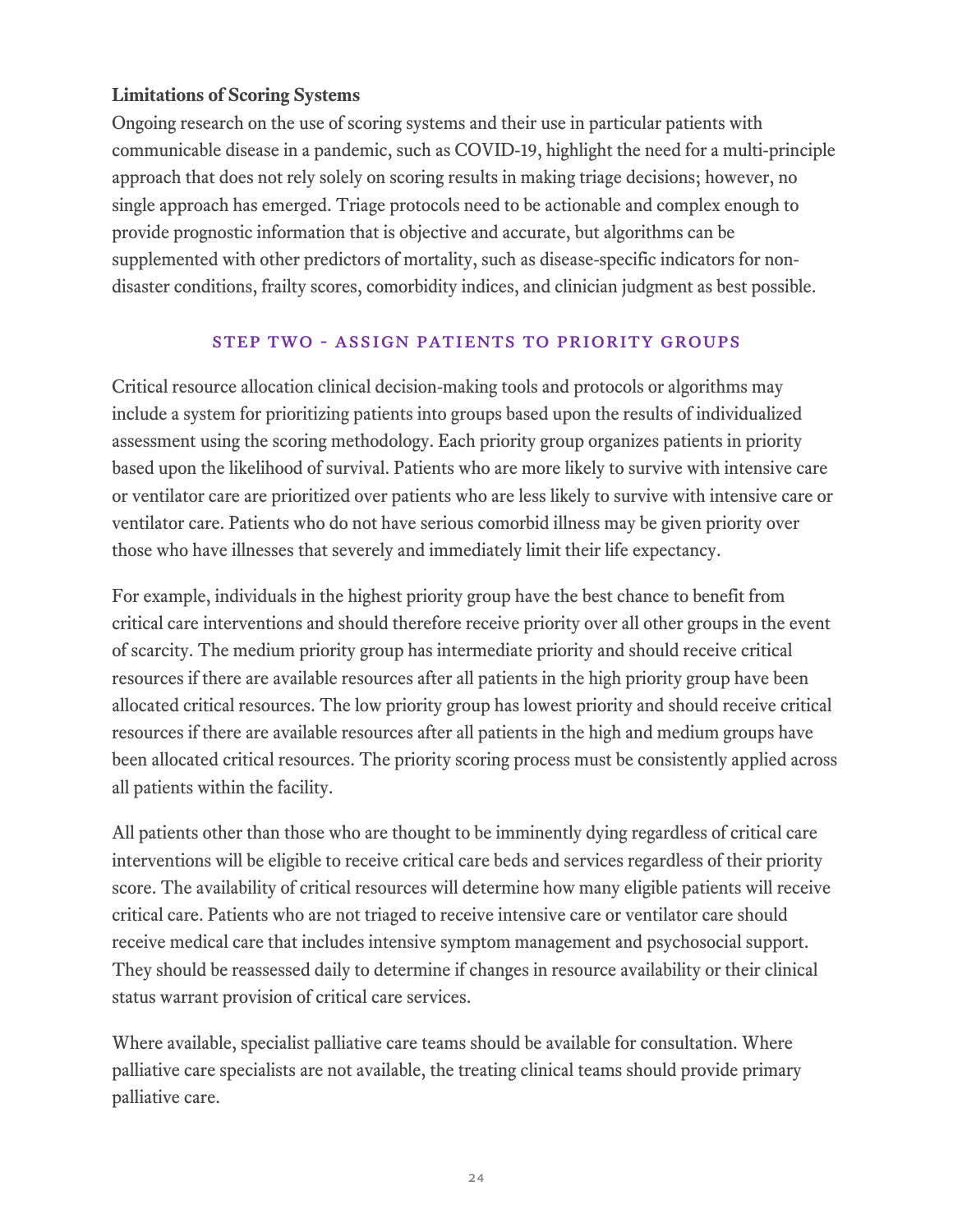## **Limitations of Scoring Systems**

Ongoing research on the use of scoring systems and their use in particular patients with communicable disease in a pandemic, such as COVID-19, highlight the need for a multi-principle approach that does not rely solely on scoring results in making triage decisions; however, no single approach has emerged. Triage protocols need to be actionable and complex enough to provide prognostic information that is objective and accurate, but algorithms can be supplemented with other predictors of mortality, such as disease-specific indicators for nondisaster conditions, frailty scores, comorbidity indices, and clinician judgment as best possible.

### Step two - Assign Patients to Priority Groups

Critical resource allocation clinical decision-making tools and protocols or algorithms may include a system for prioritizing patients into groups based upon the results of individualized assessment using the scoring methodology. Each priority group organizes patients in priority based upon the likelihood of survival. Patients who are more likely to survive with intensive care or ventilator care are prioritized over patients who are less likely to survive with intensive care or ventilator care. Patients who do not have serious comorbid illness may be given priority over those who have illnesses that severely and immediately limit their life expectancy.

For example, individuals in the highest priority group have the best chance to benefit from critical care interventions and should therefore receive priority over all other groups in the event of scarcity. The medium priority group has intermediate priority and should receive critical resources if there are available resources after all patients in the high priority group have been allocated critical resources. The low priority group has lowest priority and should receive critical resources if there are available resources after all patients in the high and medium groups have been allocated critical resources. The priority scoring process must be consistently applied across all patients within the facility.

All patients other than those who are thought to be imminently dying regardless of critical care interventions will be eligible to receive critical care beds and services regardless of their priority score. The availability of critical resources will determine how many eligible patients will receive critical care. Patients who are not triaged to receive intensive care or ventilator care should receive medical care that includes intensive symptom management and psychosocial support. They should be reassessed daily to determine if changes in resource availability or their clinical status warrant provision of critical care services.

Where available, specialist palliative care teams should be available for consultation. Where palliative care specialists are not available, the treating clinical teams should provide primary palliative care.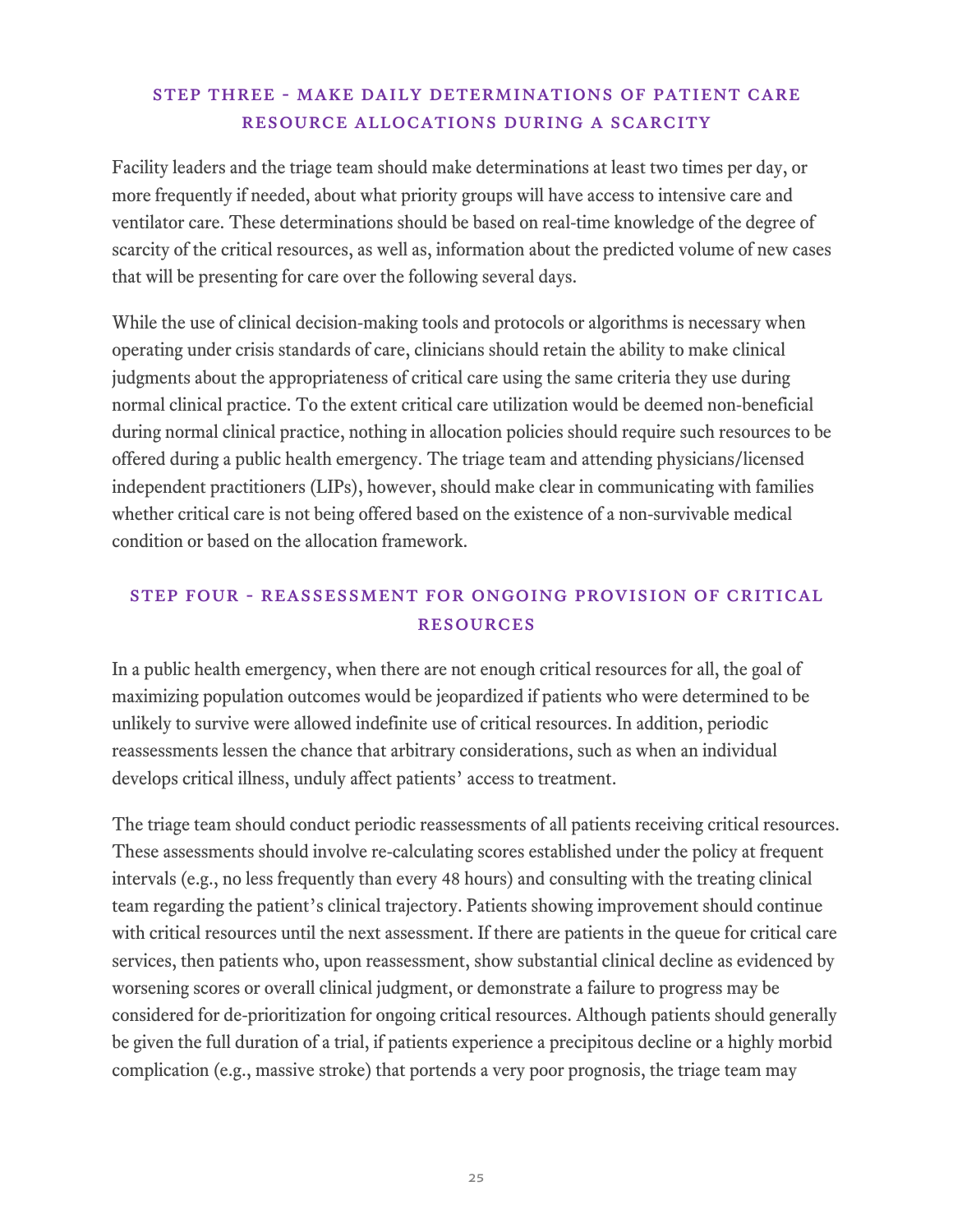## Step three - Make Daily Determinations of Patient Care Resource Allocations During a Scarcity

Facility leaders and the triage team should make determinations at least two times per day, or more frequently if needed, about what priority groups will have access to intensive care and ventilator care. These determinations should be based on real-time knowledge of the degree of scarcity of the critical resources, as well as, information about the predicted volume of new cases that will be presenting for care over the following several days.

While the use of clinical decision-making tools and protocols or algorithms is necessary when operating under crisis standards of care, clinicians should retain the ability to make clinical judgments about the appropriateness of critical care using the same criteria they use during normal clinical practice. To the extent critical care utilization would be deemed non-beneficial during normal clinical practice, nothing in allocation policies should require such resources to be offered during a public health emergency. The triage team and attending physicians/licensed independent practitioners (LIPs), however, should make clear in communicating with families whether critical care is not being offered based on the existence of a non-survivable medical condition or based on the allocation framework.

## Step four - Reassessment for Ongoing Provision of Critical Resources

In a public health emergency, when there are not enough critical resources for all, the goal of maximizing population outcomes would be jeopardized if patients who were determined to be unlikely to survive were allowed indefinite use of critical resources. In addition, periodic reassessments lessen the chance that arbitrary considerations, such as when an individual develops critical illness, unduly affect patients' access to treatment.

The triage team should conduct periodic reassessments of all patients receiving critical resources. These assessments should involve re-calculating scores established under the policy at frequent intervals (e.g., no less frequently than every 48 hours) and consulting with the treating clinical team regarding the patient's clinical trajectory. Patients showing improvement should continue with critical resources until the next assessment. If there are patients in the queue for critical care services, then patients who, upon reassessment, show substantial clinical decline as evidenced by worsening scores or overall clinical judgment, or demonstrate a failure to progress may be considered for de-prioritization for ongoing critical resources. Although patients should generally be given the full duration of a trial, if patients experience a precipitous decline or a highly morbid complication (e.g., massive stroke) that portends a very poor prognosis, the triage team may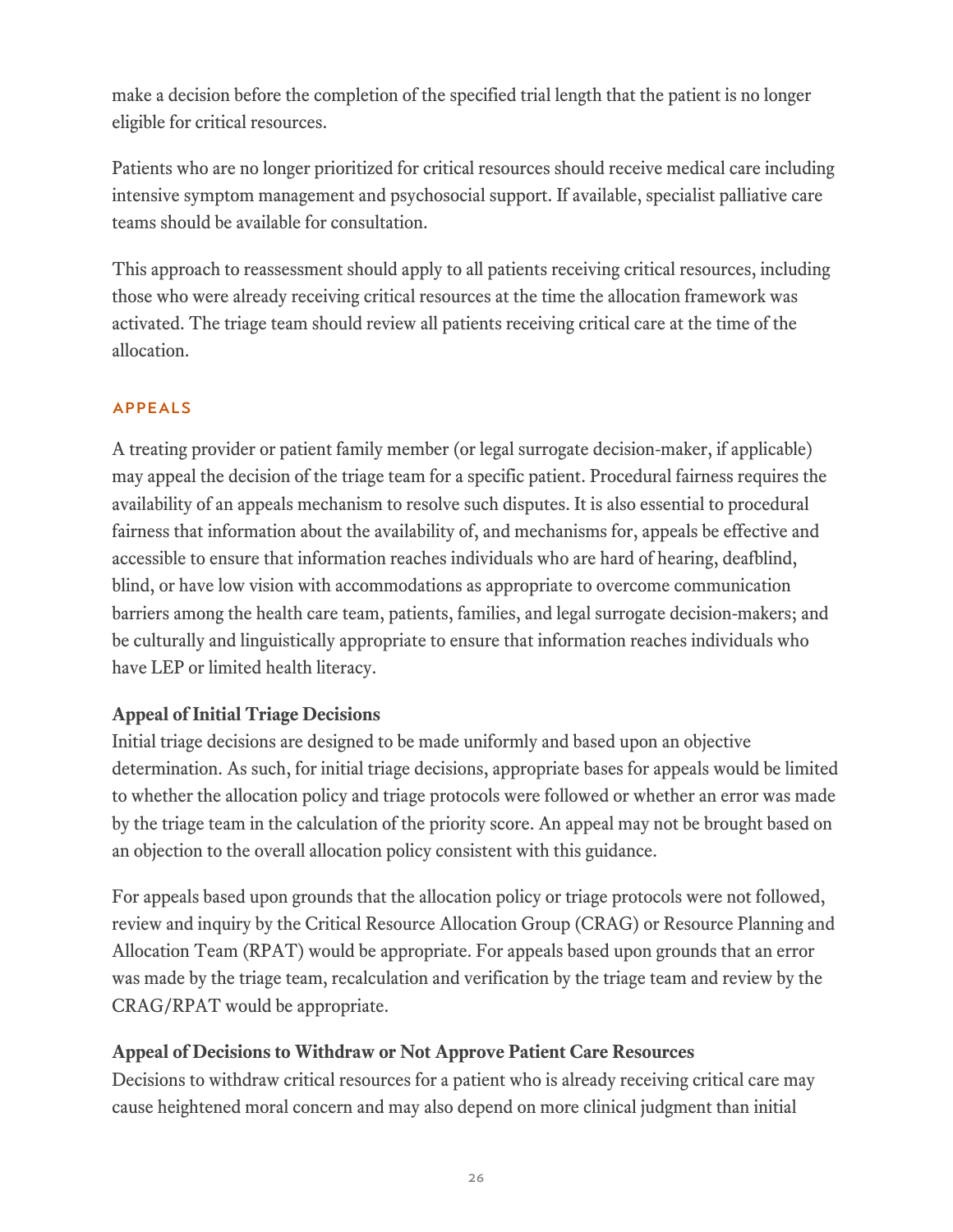make a decision before the completion of the specified trial length that the patient is no longer eligible for critical resources.

Patients who are no longer prioritized for critical resources should receive medical care including intensive symptom management and psychosocial support. If available, specialist palliative care teams should be available for consultation.

This approach to reassessment should apply to all patients receiving critical resources, including those who were already receiving critical resources at the time the allocation framework was activated. The triage team should review all patients receiving critical care at the time of the allocation.

#### Appeals

A treating provider or patient family member (or legal surrogate decision-maker, if applicable) may appeal the decision of the triage team for a specific patient. Procedural fairness requires the availability of an appeals mechanism to resolve such disputes. It is also essential to procedural fairness that information about the availability of, and mechanisms for, appeals be effective and accessible to ensure that information reaches individuals who are hard of hearing, deafblind, blind, or have low vision with accommodations as appropriate to overcome communication barriers among the health care team, patients, families, and legal surrogate decision-makers; and be culturally and linguistically appropriate to ensure that information reaches individuals who have LEP or limited health literacy.

## **Appeal of Initial Triage Decisions**

Initial triage decisions are designed to be made uniformly and based upon an objective determination. As such, for initial triage decisions, appropriate bases for appeals would be limited to whether the allocation policy and triage protocols were followed or whether an error was made by the triage team in the calculation of the priority score. An appeal may not be brought based on an objection to the overall allocation policy consistent with this guidance.

For appeals based upon grounds that the allocation policy or triage protocols were not followed, review and inquiry by the Critical Resource Allocation Group (CRAG) or Resource Planning and Allocation Team (RPAT) would be appropriate. For appeals based upon grounds that an error was made by the triage team, recalculation and verification by the triage team and review by the CRAG/RPAT would be appropriate.

## **Appeal of Decisions to Withdraw or Not Approve Patient Care Resources**

Decisions to withdraw critical resources for a patient who is already receiving critical care may cause heightened moral concern and may also depend on more clinical judgment than initial